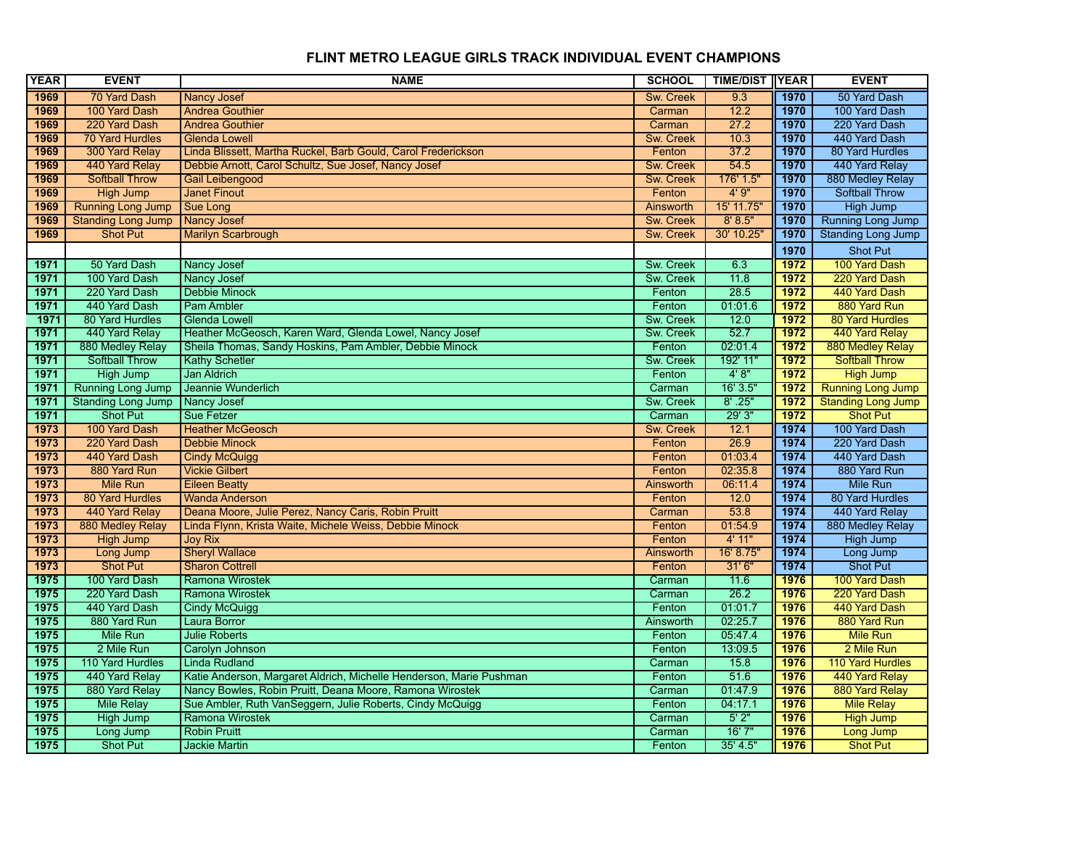| <b>YEAR</b> | <b>EVENT</b>              | <b>NAME</b>                                                         | <b>SCHOOL</b>    | <b>TIME/DIST</b> | <b>IYEAR</b> | <b>EVENT</b>              |
|-------------|---------------------------|---------------------------------------------------------------------|------------------|------------------|--------------|---------------------------|
| 1969        | 70 Yard Dash              | <b>Nancy Josef</b>                                                  | Sw. Creek        | 9.3              | 1970         | 50 Yard Dash              |
| 1969        | 100 Yard Dash             | <b>Andrea Gouthier</b>                                              | Carman           | 12.2             | 1970         | 100 Yard Dash             |
| 1969        | 220 Yard Dash             | <b>Andrea Gouthier</b>                                              | Carman           | 27.2             | 1970         | 220 Yard Dash             |
| 1969        | <b>70 Yard Hurdles</b>    | <b>Glenda Lowell</b>                                                | Sw. Creek        | 10.3             | 1970         | 440 Yard Dash             |
| 1969        | 300 Yard Relay            | Linda Blissett, Martha Ruckel, Barb Gould, Carol Frederickson       | Fenton           | 37.2             | 1970         | 80 Yard Hurdles           |
| 1969        | 440 Yard Relay            | Debbie Arnott, Carol Schultz, Sue Josef, Nancy Josef                | Sw. Creek        | 54.5             | 1970         | 440 Yard Relay            |
| 1969        | <b>Softball Throw</b>     | Gail Leibengood                                                     | <b>Sw. Creek</b> | 176' 1.5'        | 1970         | 880 Medley Relay          |
| 1969        | <b>High Jump</b>          | <b>Janet Finout</b>                                                 | Fenton           | 4'9''            | 1970         | <b>Softball Throw</b>     |
| 1969        | <b>Running Long Jump</b>  | Sue Long                                                            | Ainsworth        | 15' 11.75'       | 1970         | High Jump                 |
| 1969        | <b>Standing Long Jump</b> | <b>Nancy Josef</b>                                                  | Sw. Creek        | 8' 8.5"          | 1970         | Running Long Jump         |
| 1969        | <b>Shot Put</b>           | <b>Marilyn Scarbrough</b>                                           | <b>Sw. Creek</b> | 30' 10.25'       | 1970         | <b>Standing Long Jump</b> |
|             |                           |                                                                     |                  |                  | 1970         | <b>Shot Put</b>           |
| 1971        | 50 Yard Dash              | Nancy Josef                                                         | Sw. Creek        | 6.3              | 1972         | 100 Yard Dash             |
| 1971        | 100 Yard Dash             | Nancy Josef                                                         | Sw. Creek        | 11.8             | 1972         | 220 Yard Dash             |
| 1971        | 220 Yard Dash             | <b>Debbie Minock</b>                                                | Fenton           | 28.5             | 1972         | 440 Yard Dash             |
| 1971        | 440 Yard Dash             | <b>Pam Ambler</b>                                                   | Fenton           | 01:01.6          | 1972         | 880 Yard Run              |
| 1971        | 80 Yard Hurdles           | <b>Glenda Lowell</b>                                                | Sw. Creek        | 12.0             | 1972         | 80 Yard Hurdles           |
| 1971        | 440 Yard Relay            | Heather McGeosch, Karen Ward, Glenda Lowel, Nancy Josef             | Sw. Creek        | 52.7             | 1972         | 440 Yard Relay            |
| 1971        | 880 Medley Relay          | Sheila Thomas, Sandy Hoskins, Pam Ambler, Debbie Minock             | Fenton           | 02:01.4          | 1972         | 880 Medley Relay          |
| 1971        | <b>Softball Throw</b>     | <b>Kathy Schetler</b>                                               | Sw. Creek        | 192' 11"         | 1972         | <b>Softball Throw</b>     |
| 1971        | <b>High Jump</b>          | <b>Jan Aldrich</b>                                                  | Fenton           | 4'8''            | 1972         | <b>High Jump</b>          |
| 1971        | Running Long Jump         | Jeannie Wunderlich                                                  | Carman           | 16'3.5'          | 1972         | <b>Running Long Jump</b>  |
| 1971        | <b>Standing Long Jump</b> | <b>Nancy Josef</b>                                                  | Sw. Creek        | $8'$ .25"        | 1972         | <b>Standing Long Jump</b> |
| 1971        | <b>Shot Put</b>           | Sue Fetzer                                                          | Carman           | 29'3''           | 1972         | <b>Shot Put</b>           |
| 1973        | 100 Yard Dash             | <b>Heather McGeosch</b>                                             | Sw. Creek        | 12.1             | 1974         | 100 Yard Dash             |
| 1973        | 220 Yard Dash             | <b>Debbie Minock</b>                                                | Fenton           | 26.9             | 1974         | 220 Yard Dash             |
| 1973        | 440 Yard Dash             | <b>Cindy McQuigg</b>                                                | Fenton           | 01:03.4          | 1974         | 440 Yard Dash             |
| 1973        | 880 Yard Run              | <b>Vickie Gilbert</b>                                               | Fenton           | 02:35.8          | 1974         | 880 Yard Run              |
| 1973        | <b>Mile Run</b>           | <b>Eileen Beatty</b>                                                | Ainsworth        | 06:11.4          | 1974         | Mile Run                  |
| 1973        | 80 Yard Hurdles           | <b>Wanda Anderson</b>                                               | Fenton           | 12.0             | 1974         | 80 Yard Hurdles           |
| 1973        | 440 Yard Relay            | Deana Moore, Julie Perez, Nancy Caris, Robin Pruitt                 | Carman           | 53.8             | 1974         | 440 Yard Relay            |
| 1973        | 880 Medley Relay          | Linda Flynn, Krista Waite, Michele Weiss, Debbie Minock             | Fenton           | 01:54.9          | 1974         | 880 Medley Relay          |
| 1973        | <b>High Jump</b>          | <b>Joy Rix</b>                                                      | Fenton           | 4' 11"           | 1974         | <b>High Jump</b>          |
| 1973        | Long Jump                 | <b>Sheryl Wallace</b>                                               | Ainsworth        | 16' 8.75'        | 1974         | Long Jump                 |
| 1973        | <b>Shot Put</b>           | <b>Sharon Cottrell</b>                                              | Fenton           | 31'6''           | 1974         | <b>Shot Put</b>           |
| 1975        | 100 Yard Dash             | Ramona Wirostek                                                     | Carman           | 11.6             | 1976         | 100 Yard Dash             |
| 1975        | 220 Yard Dash             | Ramona Wirostek                                                     | Carman           | 26.2             | 1976         | 220 Yard Dash             |
| 1975        | 440 Yard Dash             | <b>Cindy McQuigg</b>                                                | Fenton           | 01:01.7          | 1976         | 440 Yard Dash             |
| 1975        | 880 Yard Run              | <b>Laura Borror</b>                                                 | Ainsworth        | 02:25.7          | 1976         | 880 Yard Run              |
| 1975        | Mile Run                  | <b>Julie Roberts</b>                                                | Fenton           | 05:47.4          | 1976         | <b>Mile Run</b>           |
| 1975        | 2 Mile Run                | Carolyn Johnson                                                     | Fenton           | 13:09.5          | 1976         | 2 Mile Run                |
| 1975        | 110 Yard Hurdles          | <b>Linda Rudland</b>                                                | Carman           | 15.8             | 1976         | 110 Yard Hurdles          |
| 1975        | 440 Yard Relay            | Katie Anderson, Margaret Aldrich, Michelle Henderson, Marie Pushman | Fenton           | 51.6             | 1976         | 440 Yard Relay            |
| 1975        | 880 Yard Relay            | Nancy Bowles, Robin Pruitt, Deana Moore, Ramona Wirostek            | Carman           | 01:47.9          | 1976         | 880 Yard Relay            |
| 1975        | <b>Mile Relay</b>         | Sue Ambler, Ruth VanSeggern, Julie Roberts, Cindy McQuigg           | Fenton           | 04:17.1          | 1976         | <b>Mile Relay</b>         |
| 1975        | High Jump                 | <b>Ramona Wirostek</b>                                              | Carman           | $5'$ 2"          | 1976         | <b>High Jump</b>          |
| 1975        | Long Jump                 | <b>Robin Pruitt</b>                                                 | Carman           | 16'7''           | 1976         | Long Jump                 |
| 1975        | Shot Put                  | <b>Jackie Martin</b>                                                | Fenton           | 35' 4.5"         | 1976         | <b>Shot Put</b>           |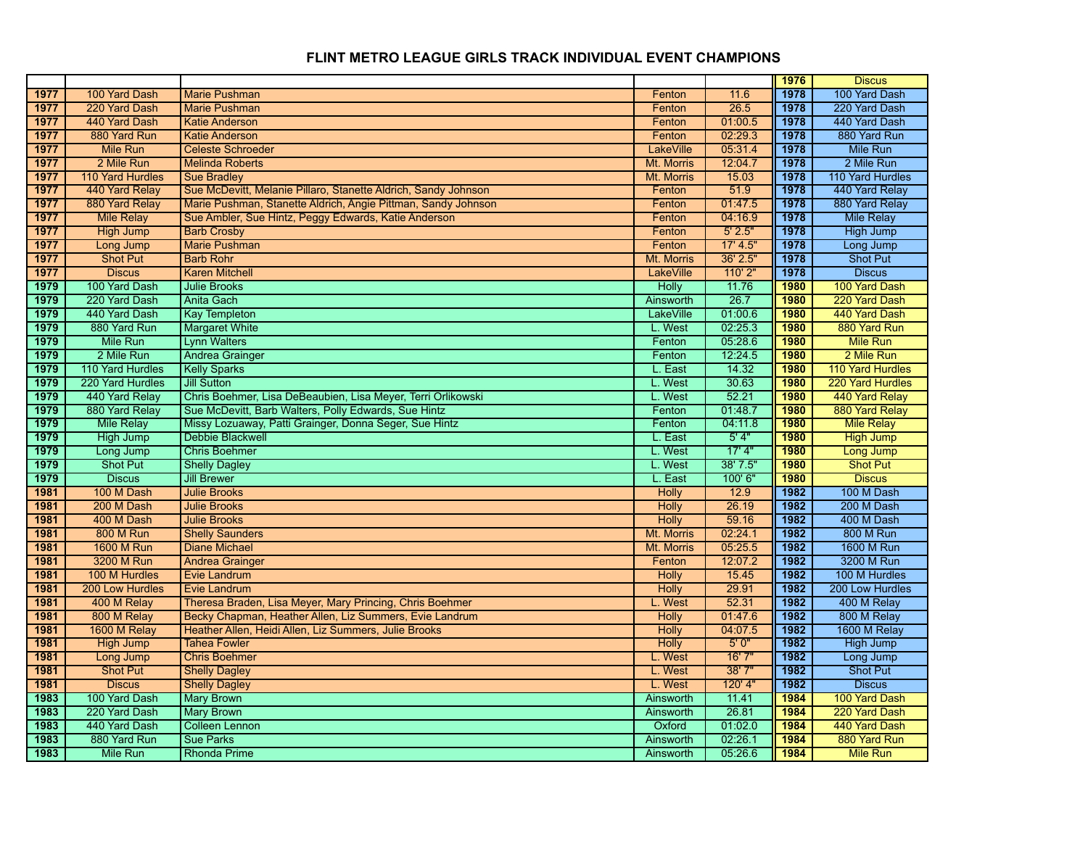|      |                   |                                                                |                  |           | 1976 | <b>Discus</b>           |
|------|-------------------|----------------------------------------------------------------|------------------|-----------|------|-------------------------|
| 1977 | 100 Yard Dash     | <b>Marie Pushman</b>                                           | Fenton           | 11.6      | 1978 | 100 Yard Dash           |
| 1977 | 220 Yard Dash     | <b>Marie Pushman</b>                                           | Fenton           | 26.5      | 1978 | 220 Yard Dash           |
| 1977 | 440 Yard Dash     | Katie Anderson                                                 | Fenton           | 01:00.5   | 1978 | 440 Yard Dash           |
| 1977 | 880 Yard Run      | <b>Katie Anderson</b>                                          | Fenton           | 02:29.3   | 1978 | 880 Yard Run            |
| 1977 | <b>Mile Run</b>   | <b>Celeste Schroeder</b>                                       | <b>LakeVille</b> | 05:31.4   | 1978 | Mile Run                |
| 1977 | 2 Mile Run        | <b>Melinda Roberts</b>                                         | Mt. Morris       | 12:04.7   | 1978 | 2 Mile Run              |
| 1977 | 110 Yard Hurdles  | <b>Sue Bradley</b>                                             | Mt. Morris       | 15.03     | 1978 | 110 Yard Hurdles        |
| 1977 | 440 Yard Relay    | Sue McDevitt, Melanie Pillaro, Stanette Aldrich, Sandy Johnson | Fenton           | 51.9      | 1978 | 440 Yard Relay          |
| 1977 | 880 Yard Relay    | Marie Pushman, Stanette Aldrich, Angie Pittman, Sandy Johnson  | Fenton           | 01:47.5   | 1978 | 880 Yard Relay          |
| 1977 | <b>Mile Relay</b> | Sue Ambler, Sue Hintz, Peggy Edwards, Katie Anderson           | Fenton           | 04:16.9   | 1978 | <b>Mile Relay</b>       |
| 1977 | <b>High Jump</b>  | <b>Barb Crosby</b>                                             | Fenton           | 5' 2.5"   | 1978 | <b>High Jump</b>        |
| 1977 | Long Jump         | <b>Marie Pushman</b>                                           | Fenton           | 17' 4.5'' | 1978 | Long Jump               |
| 1977 | Shot Put          | <b>Barb Rohr</b>                                               | Mt. Morris       | 36' 2.5"  | 1978 | <b>Shot Put</b>         |
| 1977 | <b>Discus</b>     | <b>Karen Mitchell</b>                                          | <b>LakeVille</b> | 110'2"    | 1978 | <b>Discus</b>           |
| 1979 | 100 Yard Dash     | <b>Julie Brooks</b>                                            | <b>Holly</b>     | 11.76     | 1980 | 100 Yard Dash           |
| 1979 | 220 Yard Dash     | <b>Anita Gach</b>                                              | Ainsworth        | 26.7      | 1980 | 220 Yard Dash           |
| 1979 | 440 Yard Dash     | <b>Kay Templeton</b>                                           | <b>LakeVille</b> | 01:00.6   | 1980 | 440 Yard Dash           |
| 1979 | 880 Yard Run      | <b>Margaret White</b>                                          | L. West          | 02:25.3   | 1980 | 880 Yard Run            |
| 1979 | Mile Run          | <b>Lynn Walters</b>                                            | Fenton           | 05:28.6   | 1980 | <b>Mile Run</b>         |
| 1979 | 2 Mile Run        | Andrea Grainger                                                | Fenton           | 12:24.5   | 1980 | 2 Mile Run              |
| 1979 | 110 Yard Hurdles  | <b>Kelly Sparks</b>                                            | L. East          | 14.32     | 1980 | <b>110 Yard Hurdles</b> |
| 1979 | 220 Yard Hurdles  | <b>Jill Sutton</b>                                             | L. West          | 30.63     | 1980 | 220 Yard Hurdles        |
| 1979 | 440 Yard Relay    | Chris Boehmer, Lisa DeBeaubien, Lisa Meyer, Terri Orlikowski   | L. West          | 52.21     | 1980 | 440 Yard Relay          |
| 1979 | 880 Yard Relay    | Sue McDevitt, Barb Walters, Polly Edwards, Sue Hintz           | Fenton           | 01:48.7   | 1980 | 880 Yard Relay          |
| 1979 | <b>Mile Relay</b> | Missy Lozuaway, Patti Grainger, Donna Seger, Sue Hintz         | Fenton           | 04:11.8   | 1980 | <b>Mile Relay</b>       |
| 1979 | <b>High Jump</b>  | <b>Debbie Blackwell</b>                                        | L. East          | 5'4"      | 1980 | <b>High Jump</b>        |
| 1979 | Long Jump         | <b>Chris Boehmer</b>                                           | L. West          | 17' 4''   | 1980 | Long Jump               |
| 1979 | <b>Shot Put</b>   | <b>Shelly Dagley</b>                                           | L. West          | 38' 7.5"  | 1980 | <b>Shot Put</b>         |
| 1979 | <b>Discus</b>     | <b>Jill Brewer</b>                                             | L. East          | 100'6"    | 1980 | <b>Discus</b>           |
| 1981 | 100 M Dash        | <b>Julie Brooks</b>                                            | <b>Holly</b>     | 12.9      | 1982 | 100 M Dash              |
| 1981 | 200 M Dash        | <b>Julie Brooks</b>                                            | <b>Holly</b>     | 26.19     | 1982 | 200 M Dash              |
| 1981 | 400 M Dash        | <b>Julie Brooks</b>                                            | <b>Holly</b>     | 59.16     | 1982 | 400 M Dash              |
| 1981 | <b>800 M Run</b>  | <b>Shelly Saunders</b>                                         | Mt. Morris       | 02:24.1   | 1982 | <b>800 M Run</b>        |
| 1981 | <b>1600 M Run</b> | <b>Diane Michael</b>                                           | Mt. Morris       | 05:25.5   | 1982 | <b>1600 M Run</b>       |
| 1981 | 3200 M Run        | <b>Andrea Grainger</b>                                         | Fenton           | 12:07.2   | 1982 | 3200 M Run              |
| 1981 | 100 M Hurdles     | Evie Landrum                                                   | <b>Holly</b>     | 15.45     | 1982 | 100 M Hurdles           |
| 1981 | 200 Low Hurdles   | <b>Evie Landrum</b>                                            | <b>Holly</b>     | 29.91     | 1982 | 200 Low Hurdles         |
| 1981 | 400 M Relay       | Theresa Braden, Lisa Meyer, Mary Princing, Chris Boehmer       | L. West          | 52.31     | 1982 | 400 M Relay             |
| 1981 | 800 M Relay       | Becky Chapman, Heather Allen, Liz Summers, Evie Landrum        | <b>Holly</b>     | 01:47.6   | 1982 | 800 M Relay             |
| 1981 | 1600 M Relay      | Heather Allen, Heidi Allen, Liz Summers, Julie Brooks          | <b>Holly</b>     | 04:07.5   | 1982 | 1600 M Relay            |
| 1981 | <b>High Jump</b>  | <b>Tahea Fowler</b>                                            | <b>Holly</b>     | 5'0''     | 1982 | High Jump               |
| 1981 | Long Jump         | <b>Chris Boehmer</b>                                           | L. West          | 16'7''    | 1982 | Long Jump               |
| 1981 | <b>Shot Put</b>   | <b>Shelly Dagley</b>                                           | L. West          | 38'7''    | 1982 | Shot Put                |
| 1981 | <b>Discus</b>     | <b>Shelly Dagley</b>                                           | L. West          | 120' 4"   | 1982 | <b>Discus</b>           |
| 1983 | 100 Yard Dash     | <b>Mary Brown</b>                                              | <b>Ainsworth</b> | 11.41     | 1984 | 100 Yard Dash           |
| 1983 | 220 Yard Dash     | <b>Mary Brown</b>                                              | Ainsworth        | 26.81     | 1984 | 220 Yard Dash           |
| 1983 | 440 Yard Dash     | <b>Colleen Lennon</b>                                          | Oxford           | 01:02.0   | 1984 | 440 Yard Dash           |
| 1983 | 880 Yard Run      | <b>Sue Parks</b>                                               | <b>Ainsworth</b> | 02:26.1   | 1984 | 880 Yard Run            |
| 1983 | Mile Run          | <b>Rhonda Prime</b>                                            | Ainsworth        | 05:26.6   | 1984 | <b>Mile Run</b>         |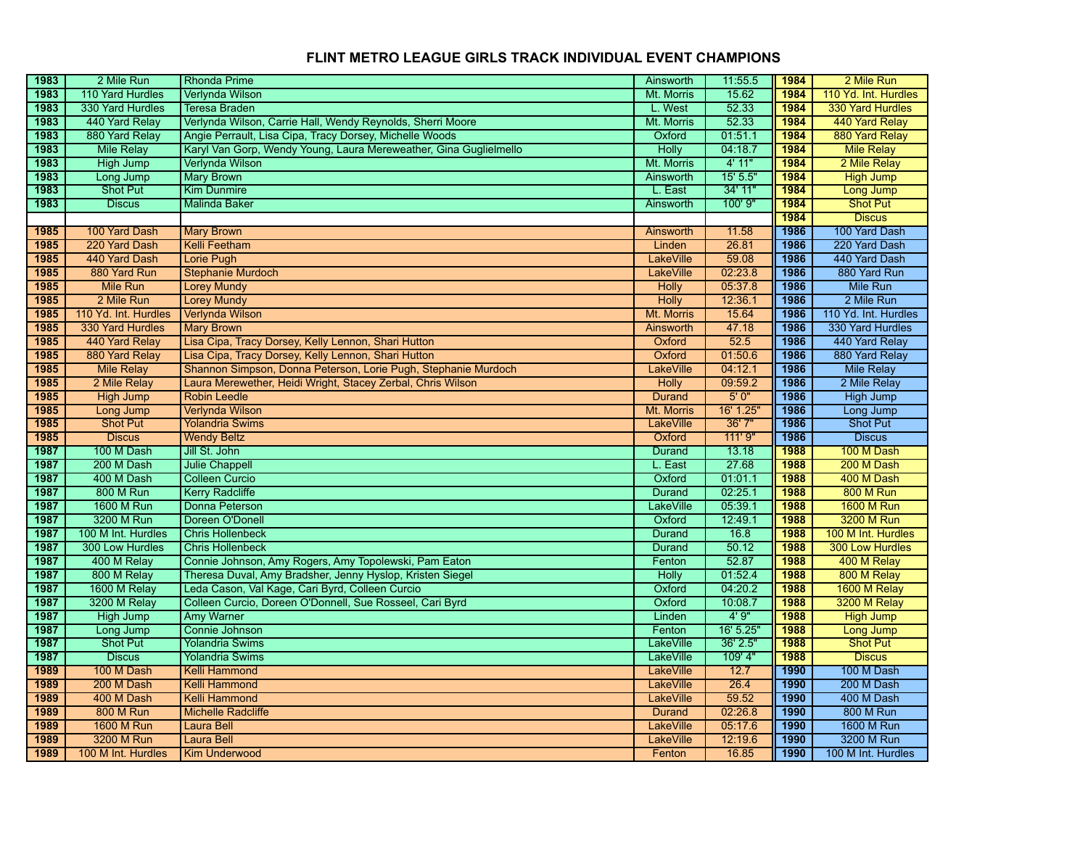| 1983         | 2 Mile Run                       | <b>Rhonda Prime</b>                                               | Ainsworth                  | 11:55.5          | 1984         | 2 Mile Run                       |
|--------------|----------------------------------|-------------------------------------------------------------------|----------------------------|------------------|--------------|----------------------------------|
| 1983         | 110 Yard Hurdles                 | Verlynda Wilson                                                   | Mt. Morris                 | 15.62            | 1984         | 110 Yd. Int. Hurdles             |
| 1983         | 330 Yard Hurdles                 | <b>Teresa Braden</b>                                              | L. West                    | 52.33            | 1984         | <b>330 Yard Hurdles</b>          |
| 1983         | 440 Yard Relay                   | Verlynda Wilson, Carrie Hall, Wendy Reynolds, Sherri Moore        | Mt. Morris                 | 52.33            | 1984         | 440 Yard Relay                   |
| 1983         | 880 Yard Relay                   | Angie Perrault, Lisa Cipa, Tracy Dorsey, Michelle Woods           | Oxford                     | 01:51.1          | 1984         | 880 Yard Relay                   |
| 1983         | <b>Mile Relay</b>                | Karyl Van Gorp, Wendy Young, Laura Mereweather, Gina Guglielmello | <b>Holly</b>               | 04:18.7          | 1984         | <b>Mile Relay</b>                |
| 1983         | <b>High Jump</b>                 | Verlynda Wilson                                                   | Mt. Morris                 | 4' 11"           | 1984         | 2 Mile Relay                     |
| 1983         | Long Jump                        | <b>Mary Brown</b>                                                 | Ainsworth                  | 15' 5.5"         | 1984         | <b>High Jump</b>                 |
| 1983         | Shot Put                         | <b>Kim Dunmire</b>                                                | L. East                    | 34' 11"          | 1984         | Long Jump                        |
| 1983         | <b>Discus</b>                    | <b>Malinda Baker</b>                                              | Ainsworth                  | 100' 9"          | 1984         | <b>Shot Put</b>                  |
|              |                                  |                                                                   |                            |                  | 1984         | <b>Discus</b>                    |
| 1985         | 100 Yard Dash                    | <b>Mary Brown</b>                                                 | Ainsworth                  | 11.58            | 1986         | 100 Yard Dash                    |
| 1985         | 220 Yard Dash                    | <b>Kelli Feetham</b>                                              | Linden                     | 26.81            | 1986         | 220 Yard Dash                    |
| 1985         | 440 Yard Dash                    | Lorie Pugh                                                        | <b>LakeVille</b>           | 59.08            | 1986         | 440 Yard Dash                    |
| 1985         | 880 Yard Run                     | <b>Stephanie Murdoch</b>                                          | <b>LakeVille</b>           | 02:23.8          | 1986         | 880 Yard Run                     |
| 1985         | Mile Run                         | <b>Lorey Mundy</b>                                                | <b>Holly</b>               | 05:37.8          | 1986         | Mile Run                         |
| 1985         | 2 Mile Run                       | <b>Lorey Mundy</b>                                                | <b>Holly</b>               | 12:36.1          | 1986         | 2 Mile Run                       |
| 1985         | 110 Yd. Int. Hurdles             | Verlynda Wilson                                                   | Mt. Morris                 | 15.64            | 1986         | 110 Yd. Int. Hurdles             |
| 1985         | 330 Yard Hurdles                 | <b>Mary Brown</b>                                                 | <b>Ainsworth</b>           | 47.18            | 1986         | 330 Yard Hurdles                 |
| 1985         | 440 Yard Relay                   | Lisa Cipa, Tracy Dorsey, Kelly Lennon, Shari Hutton               | Oxford                     | 52.5             | 1986         | 440 Yard Relay                   |
| 1985         | 880 Yard Relay                   | Lisa Cipa, Tracy Dorsey, Kelly Lennon, Shari Hutton               | Oxford                     | 01:50.6          | 1986         | 880 Yard Relay                   |
| 1985         | <b>Mile Relay</b>                | Shannon Simpson, Donna Peterson, Lorie Pugh, Stephanie Murdoch    | <b>LakeVille</b>           | 04:12.1          | 1986         | <b>Mile Relay</b>                |
| 1985         | 2 Mile Relay                     | Laura Merewether, Heidi Wright, Stacey Zerbal, Chris Wilson       | <b>Holly</b>               | 09:59.2          | 1986         | 2 Mile Relay                     |
| 1985         | <b>High Jump</b>                 | <b>Robin Leedle</b>                                               | <b>Durand</b>              | 5'0''            | 1986         | <b>High Jump</b>                 |
| 1985         | Long Jump                        | Verlynda Wilson                                                   | Mt. Morris                 | 16' 1.25"        | 1986         | Long Jump                        |
| 1985         | <b>Shot Put</b>                  | <b>Yolandria Swims</b>                                            | <b>LakeVille</b>           | 36' 7"           | 1986         | <b>Shot Put</b>                  |
|              |                                  |                                                                   |                            |                  |              |                                  |
| 1985         | <b>Discus</b>                    | <b>Wendy Beltz</b>                                                | Oxford                     | 111' 9"          | 1986         | <b>Discus</b>                    |
| 1987         | 100 M Dash                       | Jill St. John                                                     | <b>Durand</b>              | 13.18            | 1988         | 100 M Dash                       |
| 1987         | 200 M Dash                       | <b>Julie Chappell</b>                                             | L. East                    | 27.68            | 1988         | 200 M Dash                       |
| 1987         | 400 M Dash                       | <b>Colleen Curcio</b>                                             | Oxford                     | 01:01.1          | 1988         | 400 M Dash                       |
| 1987         | <b>800 M Run</b>                 | <b>Kerry Radcliffe</b>                                            | Durand                     | 02:25.1          | 1988         | <b>800 M Run</b>                 |
| 1987         | <b>1600 M Run</b>                | Donna Peterson                                                    | LakeVille                  | 05:39.1          | 1988         | <b>1600 M Run</b>                |
| 1987         | 3200 M Run                       | Doreen O'Donell                                                   | Oxford                     | 12:49.1          | 1988         | 3200 M Run                       |
| 1987         | 100 M Int. Hurdles               | <b>Chris Hollenbeck</b>                                           | <b>Durand</b>              | 16.8             | 1988         | 100 M Int. Hurdles               |
| 1987         | 300 Low Hurdles                  | <b>Chris Hollenbeck</b>                                           | Durand                     | 50.12            | 1988         | <b>300 Low Hurdles</b>           |
| 1987         | 400 M Relay                      | Connie Johnson, Amy Rogers, Amy Topolewski, Pam Eaton             | Fenton                     | 52.87            | 1988         | 400 M Relay                      |
| 1987         | 800 M Relay                      | Theresa Duval, Amy Bradsher, Jenny Hyslop, Kristen Siegel         | <b>Holly</b>               | 01:52.4          | 1988         | 800 M Relay                      |
| 1987         | 1600 M Relay                     | Leda Cason, Val Kage, Cari Byrd, Colleen Curcio                   | Oxford                     | 04:20.2          | 1988         | 1600 M Relay                     |
| 1987         | 3200 M Relay                     | Colleen Curcio, Doreen O'Donnell, Sue Rosseel, Cari Byrd          | Oxford                     | 10:08.7          | 1988         | 3200 M Relay                     |
| 1987         | <b>High Jump</b>                 | Amy Warner                                                        | Linden                     | 4'9''            | 1988         | <b>High Jump</b>                 |
| 1987         | Long Jump                        | Connie Johnson                                                    | Fenton                     | 16' 5.25"        | 1988         | Long Jump                        |
| 1987         | <b>Shot Put</b>                  | <b>Yolandria Swims</b>                                            | <b>LakeVille</b>           | 36' 2.5"         | 1988         | <b>Shot Put</b>                  |
| 1987         | <b>Discus</b>                    | <b>Yolandria Swims</b>                                            | <b>LakeVille</b>           | 109' 4"          | 1988         | <b>Discus</b>                    |
| 1989         | 100 M Dash                       | <b>Kelli Hammond</b>                                              | LakeVille                  | 12.7             | 1990         | 100 M Dash                       |
| 1989         | 200 M Dash                       | <b>Kelli Hammond</b>                                              | <b>LakeVille</b>           | 26.4             | 1990         | 200 M Dash                       |
| 1989         | 400 M Dash                       | <b>Kelli Hammond</b>                                              | <b>LakeVille</b>           | 59.52            | 1990         | 400 M Dash                       |
| 1989         | <b>800 M Run</b>                 | <b>Michelle Radcliffe</b>                                         | <b>Durand</b>              | 02:26.8          | 1990         | <b>800 M Run</b>                 |
| 1989         | <b>1600 M Run</b>                | Laura Bell                                                        | <b>LakeVille</b>           | 05:17.6          | 1990         | 1600 M Run                       |
| 1989<br>1989 | 3200 M Run<br>100 M Int. Hurdles | <b>Laura Bell</b><br><b>Kim Underwood</b>                         | <b>LakeVille</b><br>Fenton | 12:19.6<br>16.85 | 1990<br>1990 | 3200 M Run<br>100 M Int. Hurdles |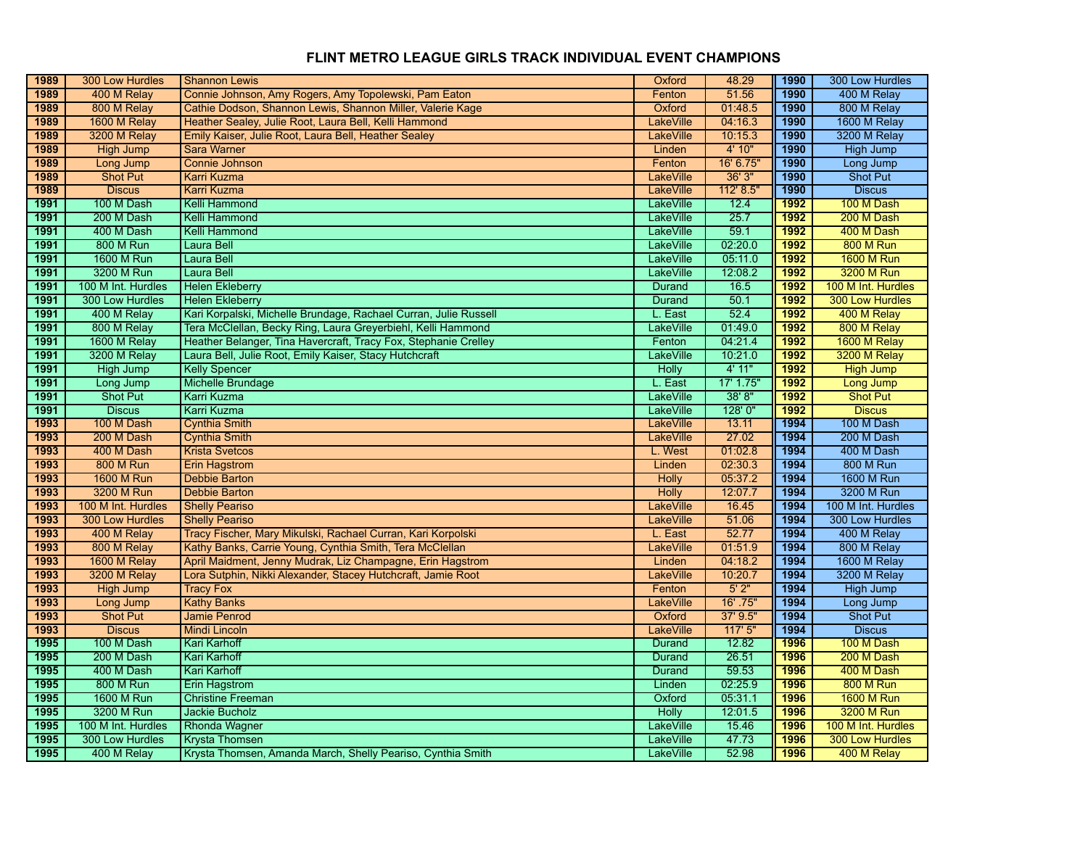| 1989         | 300 Low Hurdles                | <b>Shannon Lewis</b>                                                                 | Oxford                 | 48.29          | 1990         | 300 Low Hurdles                       |
|--------------|--------------------------------|--------------------------------------------------------------------------------------|------------------------|----------------|--------------|---------------------------------------|
| 1989         | 400 M Relay                    | Connie Johnson, Amy Rogers, Amy Topolewski, Pam Eaton                                | Fenton                 | 51.56          | 1990         | 400 M Relay                           |
| 1989         | 800 M Relay                    | Cathie Dodson, Shannon Lewis, Shannon Miller, Valerie Kage                           | Oxford                 | 01:48.5        | 1990         | 800 M Relay                           |
| 1989         | 1600 M Relay                   | Heather Sealey, Julie Root, Laura Bell, Kelli Hammond                                | <b>LakeVille</b>       | 04:16.3        | 1990         | 1600 M Relay                          |
| 1989         | 3200 M Relay                   | Emily Kaiser, Julie Root, Laura Bell, Heather Sealey                                 | <b>LakeVille</b>       | 10:15.3        | 1990         | 3200 M Relay                          |
| 1989         | <b>High Jump</b>               | <b>Sara Warner</b>                                                                   | Linden                 | 4' 10"         | 1990         | <b>High Jump</b>                      |
| 1989         | Long Jump                      | Connie Johnson                                                                       | Fenton                 | 16' 6.75"      | 1990         | Long Jump                             |
| 1989         | <b>Shot Put</b>                | <b>Karri Kuzma</b>                                                                   | <b>LakeVille</b>       | 36'3''         | 1990         | Shot Put                              |
| 1989         | <b>Discus</b>                  | <b>Karri Kuzma</b>                                                                   | <b>LakeVille</b>       | 112' 8.5'      | 1990         | <b>Discus</b>                         |
| 1991         | 100 M Dash                     | Kelli Hammond                                                                        | <b>LakeVille</b>       | 12.4           | 1992         | 100 M Dash                            |
| 1991         | 200 M Dash                     | Kelli Hammond                                                                        | LakeVille              | 25.7           | 1992         | 200 M Dash                            |
| 1991         | 400 M Dash                     | Kelli Hammond                                                                        | LakeVille              | 59.1           | 1992         | 400 M Dash                            |
| 1991         | <b>800 M Run</b>               | Laura Bell                                                                           | LakeVille              | 02:20.0        | 1992         | <b>800 M Run</b>                      |
| 1991         | <b>1600 M Run</b>              | <b>Laura Bell</b>                                                                    | <b>LakeVille</b>       | 05:11.0        | 1992         | <b>1600 M Run</b>                     |
| 1991         | 3200 M Run                     | Laura Bell                                                                           | <b>LakeVille</b>       | 12:08.2        | 1992         | 3200 M Run                            |
| 1991         | 100 M Int. Hurdles             | <b>Helen Ekleberry</b>                                                               | <b>Durand</b>          | 16.5           | 1992         | 100 M Int. Hurdles                    |
| 1991         | 300 Low Hurdles                | <b>Helen Ekleberry</b>                                                               | Durand                 | 50.1           | 1992         | <b>300 Low Hurdles</b>                |
| 1991         | 400 M Relay                    | Kari Korpalski, Michelle Brundage, Rachael Curran, Julie Russell                     | L. East                | 52.4           | 1992         | 400 M Relay                           |
| 1991         | 800 M Relay                    | Tera McClellan, Becky Ring, Laura Greyerbiehl, Kelli Hammond                         | <b>LakeVille</b>       | 01:49.0        | 1992         | 800 M Relay                           |
| 1991         | 1600 M Relay                   | Heather Belanger, Tina Havercraft, Tracy Fox, Stephanie Crelley                      | Fenton                 | 04:21.4        | 1992         | 1600 M Relay                          |
| 1991         | 3200 M Relay                   | Laura Bell, Julie Root, Emily Kaiser, Stacy Hutchcraft                               | <b>LakeVille</b>       | 10:21.0        | 1992         | 3200 M Relay                          |
| 1991         | <b>High Jump</b>               | <b>Kelly Spencer</b>                                                                 | <b>Holly</b>           | 4' 11"         | 1992         | <b>High Jump</b>                      |
| 1991         | Long Jump                      | <b>Michelle Brundage</b>                                                             | L. East                | 17' 1.75"      | 1992         | <b>Long Jump</b>                      |
| 1991         | <b>Shot Put</b>                | <b>Karri Kuzma</b>                                                                   | LakeVille              | 38'8"          | 1992         | <b>Shot Put</b>                       |
| 1991         | <b>Discus</b>                  | <b>Karri Kuzma</b>                                                                   | LakeVille              | 128'0"         | 1992         | <b>Discus</b>                         |
| 1993         | 100 M Dash                     | <b>Cynthia Smith</b>                                                                 | LakeVille              | 13.11          | 1994         | 100 M Dash                            |
|              |                                |                                                                                      |                        |                |              |                                       |
| 1993         | 200 M Dash                     | <b>Cynthia Smith</b>                                                                 | <b>LakeVille</b>       | 27.02          | 1994         | 200 M Dash                            |
| 1993         | 400 M Dash                     | <b>Krista Svetcos</b>                                                                | L. West                | 01:02.8        | 1994         | 400 M Dash                            |
| 1993         | <b>800 M Run</b>               | <b>Erin Hagstrom</b>                                                                 | Linden                 | 02:30.3        | 1994         | <b>800 M Run</b>                      |
| 1993         | <b>1600 M Run</b>              | <b>Debbie Barton</b>                                                                 | Holly                  | 05:37.2        | 1994         | 1600 M Run                            |
| 1993         | 3200 M Run                     | <b>Debbie Barton</b>                                                                 | <b>Holly</b>           | 12:07.7        | 1994         | 3200 M Run                            |
| 1993         | 100 M Int. Hurdles             | <b>Shelly Peariso</b>                                                                | <b>LakeVille</b>       | 16.45          | 1994         | 100 M Int. Hurdles                    |
| 1993         | 300 Low Hurdles                | <b>Shelly Peariso</b>                                                                | LakeVille              | 51.06          | 1994         | 300 Low Hurdles                       |
| 1993         | 400 M Relay                    | Tracy Fischer, Mary Mikulski, Rachael Curran, Kari Korpolski                         | L. East                | 52.77          | 1994         | 400 M Relay                           |
| 1993         | 800 M Relay                    | Kathy Banks, Carrie Young, Cynthia Smith, Tera McClellan                             | <b>LakeVille</b>       | 01:51.9        | 1994         | 800 M Relay                           |
| 1993         | 1600 M Relay                   | April Maidment, Jenny Mudrak, Liz Champagne, Erin Hagstrom                           | Linden                 | 04:18.2        | 1994         | 1600 M Relay                          |
| 1993         | 3200 M Relay                   | Lora Sutphin, Nikki Alexander, Stacey Hutchcraft, Jamie Root                         | <b>LakeVille</b>       | 10:20.7        | 1994         | 3200 M Relay                          |
| 1993         | <b>High Jump</b>               | <b>Tracy Fox</b>                                                                     | Fenton                 | 5'2"           | 1994         | <b>High Jump</b>                      |
| 1993         | Long Jump                      | <b>Kathy Banks</b>                                                                   | <b>LakeVille</b>       | 16' .75"       | 1994         | Long Jump                             |
| 1993         | <b>Shot Put</b>                | <b>Jamie Penrod</b>                                                                  | Oxford                 | 37' 9.5"       | 1994         | <b>Shot Put</b>                       |
| 1993         | <b>Discus</b>                  | <b>Mindi Lincoln</b>                                                                 | <b>LakeVille</b>       | 117'5''        | 1994         | <b>Discus</b>                         |
| 1995         | 100 M Dash                     | Kari Karhoff                                                                         | Durand                 | 12.82          | 1996         | 100 M Dash                            |
| 1995         | 200 M Dash                     | <b>Kari Karhoff</b>                                                                  | <b>Durand</b>          | 26.51          | 1996         | 200 M Dash                            |
| 1995         | 400 M Dash                     | Kari Karhoff                                                                         | <b>Durand</b>          | 59.53          | 1996         | 400 M Dash                            |
| 1995         | 800 M Run                      | Erin Hagstrom                                                                        | Linden                 | 02:25.9        | 1996         | <b>800 M Run</b>                      |
| 1995         | 1600 M Run                     | <b>Christine Freeman</b>                                                             | Oxford                 | 05:31.1        | 1996         | <b>1600 M Run</b>                     |
| 1995         | 3200 M Run                     | <b>Jackie Bucholz</b>                                                                | <b>Holly</b>           | 12:01.5        | 1996         | 3200 M Run                            |
| 1995         | 100 M Int. Hurdles             | <b>Rhonda Wagner</b>                                                                 | <b>LakeVille</b>       | 15.46          | 1996         | 100 M Int. Hurdles                    |
| 1995<br>1995 | 300 Low Hurdles<br>400 M Relay | <b>Krysta Thomsen</b><br>Krysta Thomsen, Amanda March, Shelly Peariso, Cynthia Smith | LakeVille<br>LakeVille | 47.73<br>52.98 | 1996<br>1996 | <b>300 Low Hurdles</b><br>400 M Relay |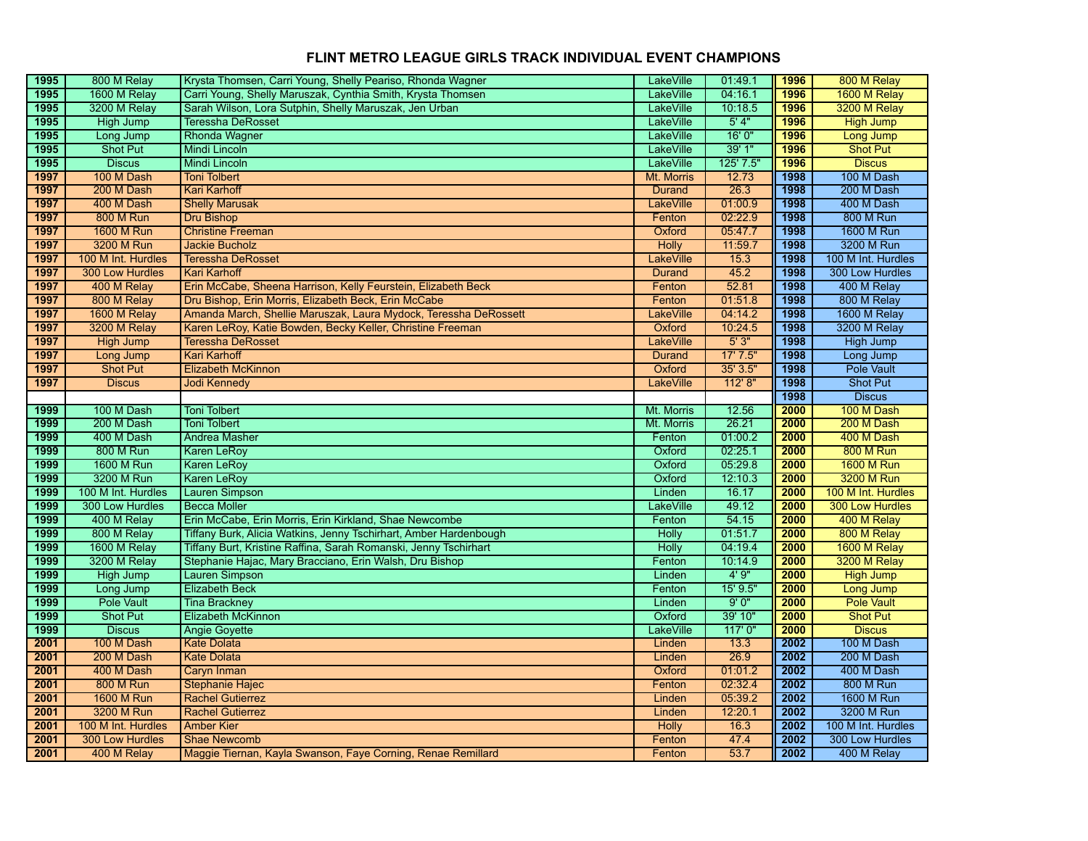| 1995 | 800 M Relay        | Krysta Thomsen, Carri Young, Shelly Peariso, Rhonda Wagner        | <b>LakeVille</b> | 01:49.1   | 1996 | 800 M Relay            |
|------|--------------------|-------------------------------------------------------------------|------------------|-----------|------|------------------------|
| 1995 | 1600 M Relay       | Carri Young, Shelly Maruszak, Cynthia Smith, Krysta Thomsen       | LakeVille        | 04:16.1   | 1996 | 1600 M Relay           |
| 1995 | 3200 M Relay       | Sarah Wilson, Lora Sutphin, Shelly Maruszak, Jen Urban            | LakeVille        | 10:18.5   | 1996 | 3200 M Relay           |
| 1995 | <b>High Jump</b>   | <b>Teressha DeRosset</b>                                          | <b>LakeVille</b> | 5'4"      | 1996 | <b>High Jump</b>       |
| 1995 | Long Jump          | <b>Rhonda Wagner</b>                                              | <b>LakeVille</b> | 16'0''    | 1996 | Long Jump              |
| 1995 | <b>Shot Put</b>    | Mindi Lincoln                                                     | <b>LakeVille</b> | 39' 1"    | 1996 | <b>Shot Put</b>        |
| 1995 | <b>Discus</b>      | <b>Mindi Lincoln</b>                                              | <b>LakeVille</b> | 125' 7.5" | 1996 | <b>Discus</b>          |
| 1997 | 100 M Dash         | <b>Toni Tolbert</b>                                               | Mt. Morris       | 12.73     | 1998 | 100 M Dash             |
| 1997 | 200 M Dash         | <b>Kari Karhoff</b>                                               | <b>Durand</b>    | 26.3      | 1998 | 200 M Dash             |
| 1997 | 400 M Dash         | <b>Shelly Marusak</b>                                             | <b>LakeVille</b> | 01:00.9   | 1998 | 400 M Dash             |
| 1997 | <b>800 M Run</b>   | <b>Dru Bishop</b>                                                 | Fenton           | 02:22.9   | 1998 | <b>800 M Run</b>       |
| 1997 | <b>1600 M Run</b>  | <b>Christine Freeman</b>                                          | Oxford           | 05:47.7   | 1998 | 1600 M Run             |
| 1997 | 3200 M Run         | <b>Jackie Bucholz</b>                                             | <b>Holly</b>     | 11:59.7   | 1998 | 3200 M Run             |
| 1997 | 100 M Int. Hurdles | <b>Teressha DeRosset</b>                                          | LakeVille        | 15.3      | 1998 | 100 M Int. Hurdles     |
| 1997 | 300 Low Hurdles    | <b>Kari Karhoff</b>                                               | Durand           | 45.2      | 1998 | 300 Low Hurdles        |
| 1997 | 400 M Relay        | Erin McCabe, Sheena Harrison, Kelly Feurstein, Elizabeth Beck     | Fenton           | 52.81     | 1998 | 400 M Relay            |
| 1997 | 800 M Relay        | Dru Bishop, Erin Morris, Elizabeth Beck, Erin McCabe              | Fenton           | 01:51.8   | 1998 | 800 M Relay            |
| 1997 | 1600 M Relay       | Amanda March, Shellie Maruszak, Laura Mydock, Teressha DeRossett  | <b>LakeVille</b> | 04:14.2   | 1998 | 1600 M Relay           |
| 1997 | 3200 M Relay       | Karen LeRoy, Katie Bowden, Becky Keller, Christine Freeman        | Oxford           | 10:24.5   | 1998 | 3200 M Relay           |
| 1997 | <b>High Jump</b>   | <b>Teressha DeRosset</b>                                          | <b>LakeVille</b> | 5'3''     | 1998 | High Jump              |
| 1997 | Long Jump          | <b>Kari Karhoff</b>                                               | <b>Durand</b>    | 17'7.5''  | 1998 | Long Jump              |
| 1997 | <b>Shot Put</b>    | <b>Elizabeth McKinnon</b>                                         | Oxford           | 35' 3.5"  | 1998 | <b>Pole Vault</b>      |
| 1997 | <b>Discus</b>      | <b>Jodi Kennedy</b>                                               | <b>LakeVille</b> | 112' 8''  | 1998 | <b>Shot Put</b>        |
|      |                    |                                                                   |                  |           | 1998 | <b>Discus</b>          |
| 1999 | 100 M Dash         | <b>Toni Tolbert</b>                                               | Mt. Morris       | 12.56     | 2000 | 100 M Dash             |
| 1999 | 200 M Dash         | <b>Toni Tolbert</b>                                               | Mt. Morris       | 26.21     | 2000 | 200 M Dash             |
| 1999 | 400 M Dash         | <b>Andrea Masher</b>                                              | Fenton           | 01:00.2   | 2000 | 400 M Dash             |
| 1999 | <b>800 M Run</b>   | <b>Karen LeRoy</b>                                                | Oxford           | 02:25.1   | 2000 | <b>800 M Run</b>       |
| 1999 | 1600 M Run         | <b>Karen LeRov</b>                                                | Oxford           | 05:29.8   | 2000 | <b>1600 M Run</b>      |
| 1999 | 3200 M Run         | <b>Karen LeRoy</b>                                                | Oxford           | 12:10.3   | 2000 | 3200 M Run             |
| 1999 | 100 M Int. Hurdles | <b>Lauren Simpson</b>                                             | Linden           | 16.17     | 2000 | 100 M Int. Hurdles     |
| 1999 | 300 Low Hurdles    | <b>Becca Moller</b>                                               | LakeVille        | 49.12     | 2000 | <b>300 Low Hurdles</b> |
| 1999 | 400 M Relay        | Erin McCabe, Erin Morris, Erin Kirkland, Shae Newcombe            | Fenton           | 54.15     | 2000 | 400 M Relay            |
| 1999 | 800 M Relay        | Tiffany Burk, Alicia Watkins, Jenny Tschirhart, Amber Hardenbough | Holly            | 01:51.7   | 2000 | 800 M Relay            |
| 1999 | 1600 M Relay       | Tiffany Burt, Kristine Raffina, Sarah Romanski, Jenny Tschirhart  | <b>Holly</b>     | 04:19.4   | 2000 | 1600 M Relay           |
| 1999 | 3200 M Relay       | Stephanie Hajac, Mary Bracciano, Erin Walsh, Dru Bishop           | Fenton           | 10:14.9   | 2000 | 3200 M Relay           |
| 1999 | <b>High Jump</b>   | <b>Lauren Simpson</b>                                             | Linden           | 4'9''     | 2000 | <b>High Jump</b>       |
| 1999 | Long Jump          | <b>Elizabeth Beck</b>                                             | Fenton           | 15' 9.5"  | 2000 | Long Jump              |
| 1999 | <b>Pole Vault</b>  | <b>Tina Brackney</b>                                              | Linden           | 9'0''     | 2000 | <b>Pole Vault</b>      |
| 1999 | <b>Shot Put</b>    | Elizabeth McKinnon                                                | Oxford           | 39' 10"   | 2000 | <b>Shot Put</b>        |
| 1999 | <b>Discus</b>      | <b>Angie Govette</b>                                              | LakeVille        | 117'0''   | 2000 | <b>Discus</b>          |
| 2001 | 100 M Dash         | <b>Kate Dolata</b>                                                | Linden           | 13.3      | 2002 | 100 M Dash             |
| 2001 | 200 M Dash         | <b>Kate Dolata</b>                                                | Linden           | 26.9      | 2002 | 200 M Dash             |
| 2001 | 400 M Dash         | <b>Caryn Inman</b>                                                | Oxford           | 01:01.2   | 2002 | 400 M Dash             |
| 2001 | <b>800 M Run</b>   | <b>Stephanie Hajec</b>                                            | Fenton           | 02:32.4   | 2002 | <b>800 M Run</b>       |
| 2001 | <b>1600 M Run</b>  | <b>Rachel Gutierrez</b>                                           | Linden           | 05:39.2   | 2002 | 1600 M Run             |
| 2001 | 3200 M Run         | <b>Rachel Gutierrez</b>                                           | Linden           | 12:20.1   | 2002 | 3200 M Run             |
| 2001 | 100 M Int. Hurdles | <b>Amber Kier</b>                                                 | <b>Holly</b>     | 16.3      | 2002 | 100 M Int. Hurdles     |
| 2001 | 300 Low Hurdles    | <b>Shae Newcomb</b>                                               | Fenton           | 47.4      | 2002 | 300 Low Hurdles        |
| 2001 | 400 M Relay        | Maggie Tiernan, Kayla Swanson, Faye Corning, Renae Remillard      | Fenton           | 53.7      | 2002 | 400 M Relay            |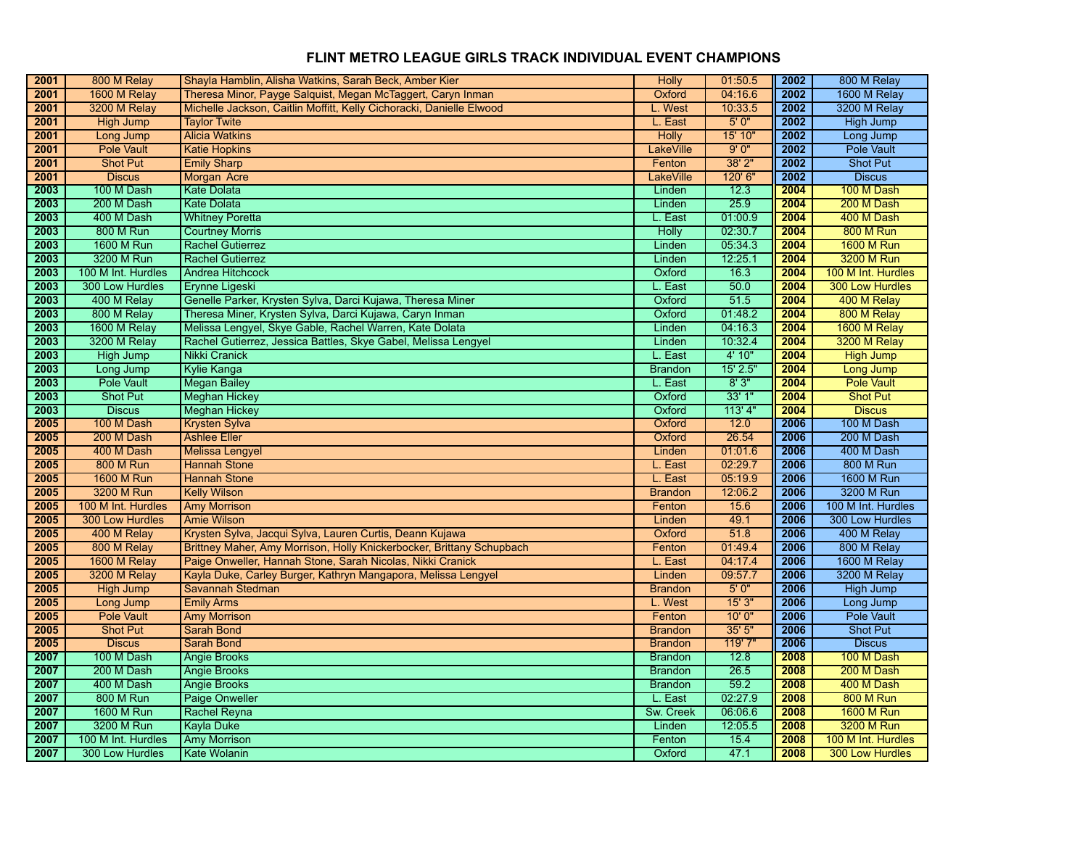| 2001<br>2001 | 800 M Relay                    | Shayla Hamblin, Alisha Watkins, Sarah Beck, Amber Kier                                                                              | Holly                            | 01:50.5            | 2002         | 800 M Relay                    |
|--------------|--------------------------------|-------------------------------------------------------------------------------------------------------------------------------------|----------------------------------|--------------------|--------------|--------------------------------|
| 2001         | 1600 M Relay<br>3200 M Relay   | Theresa Minor, Payge Salquist, Megan McTaggert, Caryn Inman<br>Michelle Jackson, Caitlin Moffitt, Kelly Cichoracki, Danielle Elwood | Oxford<br>L. West                | 04:16.6<br>10:33.5 | 2002<br>2002 | 1600 M Relay<br>3200 M Relay   |
| 2001         |                                |                                                                                                                                     |                                  | 5'0''              | 2002         |                                |
|              | <b>High Jump</b>               | <b>Taylor Twite</b>                                                                                                                 | L. East                          | 15' 10"            | 2002         | High Jump                      |
| 2001<br>2001 | Long Jump<br><b>Pole Vault</b> | <b>Alicia Watkins</b>                                                                                                               | <b>Holly</b><br><b>LakeVille</b> | 9'0''              | 2002         | Long Jump<br><b>Pole Vault</b> |
|              |                                | <b>Katie Hopkins</b>                                                                                                                |                                  |                    |              |                                |
| 2001         | <b>Shot Put</b>                | <b>Emily Sharp</b>                                                                                                                  | Fenton                           | 38' 2"<br>120' 6"  | 2002         | <b>Shot Put</b>                |
| 2001         | <b>Discus</b>                  | Morgan Acre                                                                                                                         | <b>LakeVille</b>                 |                    | 2002         | <b>Discus</b>                  |
| 2003         | 100 M Dash                     | <b>Kate Dolata</b>                                                                                                                  | Linden                           | 12.3               | 2004         | 100 M Dash                     |
| 2003         | 200 M Dash                     | <b>Kate Dolata</b>                                                                                                                  | Linden                           | 25.9               | 2004         | 200 M Dash                     |
| 2003         | 400 M Dash                     | <b>Whitney Poretta</b>                                                                                                              | L. East                          | 01:00.9            | 2004         | 400 M Dash                     |
| 2003         | 800 M Run                      | <b>Courtney Morris</b>                                                                                                              | Holly                            | 02:30.7            | 2004         | <b>800 M Run</b>               |
| 2003         | 1600 M Run                     | <b>Rachel Gutierrez</b>                                                                                                             | Linden                           | 05:34.3            | 2004         | <b>1600 M Run</b>              |
| 2003         | 3200 M Run                     | <b>Rachel Gutierrez</b>                                                                                                             | Linden                           | 12:25.1            | 2004         | 3200 M Run                     |
| 2003         | 100 M Int. Hurdles             | Andrea Hitchcock                                                                                                                    | Oxford                           | 16.3               | 2004         | 100 M Int. Hurdles             |
| 2003         | 300 Low Hurdles                | Erynne Ligeski                                                                                                                      | L. East                          | 50.0               | 2004         | 300 Low Hurdles                |
| 2003         | 400 M Relay                    | Genelle Parker, Krysten Sylva, Darci Kujawa, Theresa Miner                                                                          | Oxford                           | 51.5               | 2004         | 400 M Relay                    |
| 2003         | 800 M Relay                    | Theresa Miner, Krysten Sylva, Darci Kujawa, Caryn Inman                                                                             | Oxford                           | 01:48.2            | 2004         | 800 M Relay                    |
| 2003         | 1600 M Relay                   | Melissa Lengyel, Skye Gable, Rachel Warren, Kate Dolata                                                                             | Linden                           | 04:16.3            | 2004         | 1600 M Relay                   |
| 2003         | 3200 M Relay                   | Rachel Gutierrez, Jessica Battles, Skye Gabel, Melissa Lengyel                                                                      | Linden                           | 10:32.4            | 2004         | 3200 M Relay                   |
| 2003         | <b>High Jump</b>               | <b>Nikki Cranick</b>                                                                                                                | L. East                          | 4' 10"             | 2004         | <b>High Jump</b>               |
| 2003         | Long Jump                      | <b>Kylie Kanga</b>                                                                                                                  | <b>Brandon</b>                   | $15'$ 2.5"         | 2004         | Long Jump                      |
| 2003         | <b>Pole Vault</b>              | <b>Megan Bailey</b>                                                                                                                 | L. East                          | 8'3''              | 2004         | <b>Pole Vault</b>              |
| 2003         | <b>Shot Put</b>                | <b>Meghan Hickey</b>                                                                                                                | Oxford                           | 33'1"              | 2004         | <b>Shot Put</b>                |
| 2003         | <b>Discus</b>                  | <b>Meghan Hickey</b>                                                                                                                | Oxford                           | 113'4"             | 2004         | <b>Discus</b>                  |
| 2005         | 100 M Dash                     | <b>Krysten Sylva</b>                                                                                                                | Oxford                           | 12.0               | 2006         | 100 M Dash                     |
| 2005         | 200 M Dash                     | <b>Ashlee Eller</b>                                                                                                                 | Oxford                           | 26.54              | 2006         | 200 M Dash                     |
| 2005         | 400 M Dash                     | <b>Melissa Lengyel</b>                                                                                                              | Linden                           | 01:01.6            | 2006         | 400 M Dash                     |
| 2005         | <b>800 M Run</b>               | <b>Hannah Stone</b>                                                                                                                 | L. East                          | 02:29.7            | 2006         | <b>800 M Run</b>               |
| 2005         | <b>1600 M Run</b>              | <b>Hannah Stone</b>                                                                                                                 | L. East                          | 05:19.9            | 2006         | 1600 M Run                     |
| 2005         | 3200 M Run                     | <b>Kelly Wilson</b>                                                                                                                 | <b>Brandon</b>                   | 12:06.2            | 2006         | 3200 M Run                     |
| 2005         | 100 M Int. Hurdles             | <b>Amy Morrison</b>                                                                                                                 | Fenton                           | 15.6               | 2006         | 100 M Int. Hurdles             |
| 2005         | 300 Low Hurdles                | <b>Amie Wilson</b>                                                                                                                  | Linden                           | 49.1               | 2006         | 300 Low Hurdles                |
| 2005         | 400 M Relay                    | Krysten Sylva, Jacqui Sylva, Lauren Curtis, Deann Kujawa                                                                            | Oxford                           | 51.8               | 2006         | 400 M Relay                    |
| 2005         | 800 M Relay                    | Brittney Maher, Amy Morrison, Holly Knickerbocker, Brittany Schupbach                                                               | Fenton                           | 01:49.4            | 2006         | 800 M Relay                    |
| 2005         | 1600 M Relay                   | Paige Onweller, Hannah Stone, Sarah Nicolas, Nikki Cranick                                                                          | L. East                          | 04:17.4            | 2006         | 1600 M Relay                   |
| 2005         | 3200 M Relay                   | Kayla Duke, Carley Burger, Kathryn Mangapora, Melissa Lengyel                                                                       | Linden                           | 09:57.7            | 2006         | 3200 M Relay                   |
| 2005         | High Jump                      | Savannah Stedman                                                                                                                    | <b>Brandon</b>                   | 5'0''              | 2006         | High Jump                      |
| 2005         | Long Jump                      | <b>Emily Arms</b>                                                                                                                   | L. West                          | 15'3''             | 2006         | Long Jump                      |
| 2005         | <b>Pole Vault</b>              | <b>Amy Morrison</b>                                                                                                                 | Fenton                           | 10'0''             | 2006         | <b>Pole Vault</b>              |
| 2005         | <b>Shot Put</b>                | <b>Sarah Bond</b>                                                                                                                   | <b>Brandon</b>                   | 35'5''             | 2006         | <b>Shot Put</b>                |
| 2005         | <b>Discus</b>                  | <b>Sarah Bond</b>                                                                                                                   | <b>Brandon</b>                   | 119'7"             | 2006         | <b>Discus</b>                  |
| 2007         | 100 M Dash                     | <b>Angie Brooks</b>                                                                                                                 | <b>Brandon</b>                   | 12.8               | 2008         | 100 M Dash                     |
| 2007         | 200 M Dash                     | <b>Angie Brooks</b>                                                                                                                 | <b>Brandon</b>                   | 26.5               | 2008         | 200 M Dash                     |
| 2007         | 400 M Dash                     | <b>Angie Brooks</b>                                                                                                                 | <b>Brandon</b>                   | 59.2               | 2008         | 400 M Dash                     |
| 2007         | 800 M Run                      | <b>Paige Onweller</b>                                                                                                               | L. East                          | 02:27.9            | 2008         | <b>800 M Run</b>               |
| 2007         | <b>1600 M Run</b>              | <b>Rachel Reyna</b>                                                                                                                 | Sw. Creek                        | 06:06.6            | 2008         | <b>1600 M Run</b>              |
| 2007         | 3200 M Run                     | <b>Kayla Duke</b>                                                                                                                   | Linden                           | 12:05.5            | 2008         | 3200 M Run                     |
| 2007         | 100 M Int. Hurdles             | <b>Amy Morrison</b>                                                                                                                 | Fenton                           | 15.4               | 2008         | 100 M Int. Hurdles             |
| 2007         | 300 Low Hurdles                | Kate Wolanin                                                                                                                        | Oxford                           | 47.1               | 2008         | <b>300 Low Hurdles</b>         |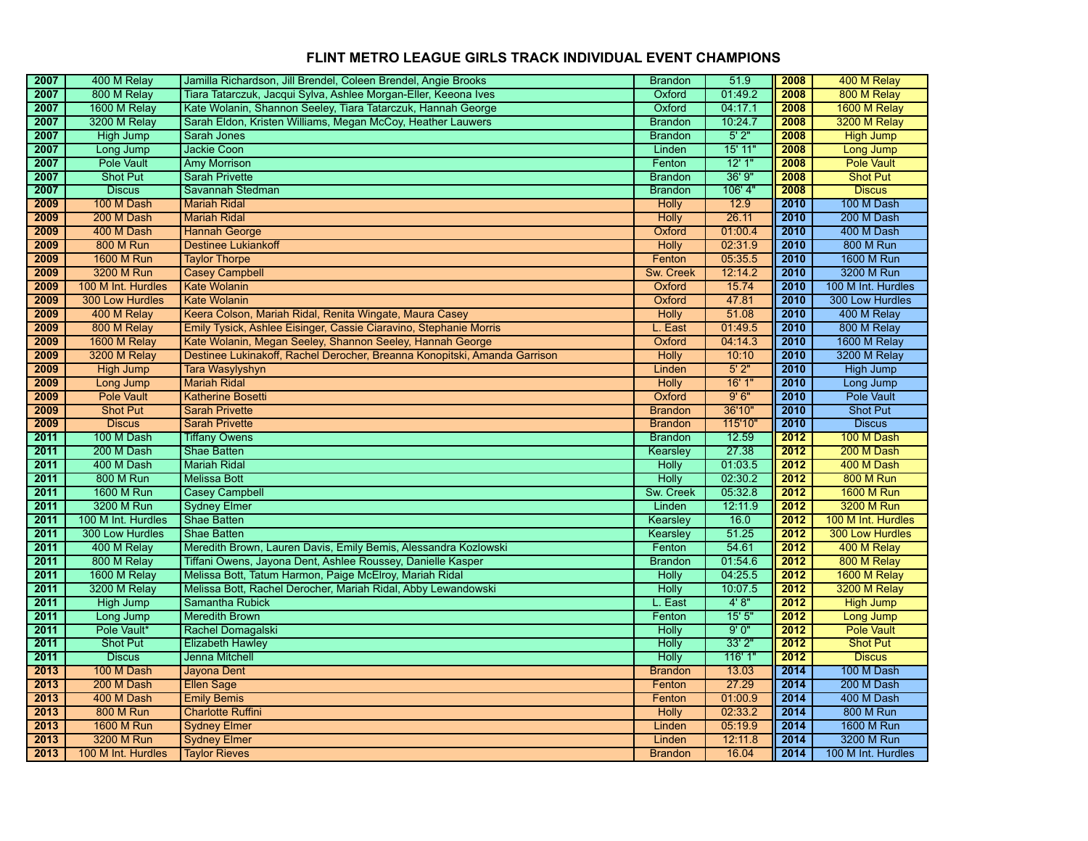| 2007         | 400 M Relay                      | Jamilla Richardson, Jill Brendel, Coleen Brendel, Angie Brooks            | <b>Brandon</b>           | 51.9             | 2008         | 400 M Relay                      |
|--------------|----------------------------------|---------------------------------------------------------------------------|--------------------------|------------------|--------------|----------------------------------|
| 2007         | 800 M Relay                      | Tiara Tatarczuk, Jacqui Sylva, Ashlee Morgan-Eller, Keeona Ives           | Oxford                   | 01:49.2          | 2008         | 800 M Relay                      |
| 2007         | 1600 M Relay                     | Kate Wolanin, Shannon Seeley, Tiara Tatarczuk, Hannah George              | Oxford                   | 04:17.1          | 2008         | 1600 M Relay                     |
| 2007         | 3200 M Relay                     | Sarah Eldon, Kristen Williams, Megan McCoy, Heather Lauwers               | <b>Brandon</b>           | 10:24.7          | 2008         | 3200 M Relay                     |
| 2007         | <b>High Jump</b>                 | Sarah Jones                                                               | <b>Brandon</b>           | 5'2"             | 2008         | <b>High Jump</b>                 |
| 2007         | Long Jump                        | <b>Jackie Coon</b>                                                        | Linden                   | 15' 11"          | 2008         | Long Jump                        |
| 2007         | <b>Pole Vault</b>                | <b>Amy Morrison</b>                                                       | Fenton                   | 12'1''           | 2008         | <b>Pole Vault</b>                |
| 2007         | <b>Shot Put</b>                  | <b>Sarah Privette</b>                                                     | <b>Brandon</b>           | 36'9''           | 2008         | <b>Shot Put</b>                  |
| 2007         | <b>Discus</b>                    | Savannah Stedman                                                          | <b>Brandon</b>           | 106' 4"          | 2008         | <b>Discus</b>                    |
| 2009         | 100 M Dash                       | <b>Mariah Ridal</b>                                                       | <b>Holly</b>             | 12.9             | 2010         | 100 M Dash                       |
| 2009         | 200 M Dash                       | <b>Mariah Ridal</b>                                                       | <b>Holly</b>             | 26.11            | 2010         | 200 M Dash                       |
| 2009         | 400 M Dash                       | <b>Hannah George</b>                                                      | Oxford                   | 01:00.4          | 2010         | 400 M Dash                       |
| 2009         | <b>800 M Run</b>                 | <b>Destinee Lukiankoff</b>                                                | <b>Holly</b>             | 02:31.9          | 2010         | <b>800 M Run</b>                 |
| 2009         | <b>1600 M Run</b>                | <b>Taylor Thorpe</b>                                                      | Fenton                   | 05:35.5          | 2010         | <b>1600 M Run</b>                |
| 2009         | 3200 M Run                       | Casey Campbell                                                            | Sw. Creek                | 12:14.2          | 2010         | 3200 M Run                       |
| 2009         | 100 M Int. Hurdles               | <b>Kate Wolanin</b>                                                       | Oxford                   | 15.74            | 2010         | 100 M Int. Hurdles               |
| 2009         | <b>300 Low Hurdles</b>           | <b>Kate Wolanin</b>                                                       | Oxford                   | 47.81            | 2010         | 300 Low Hurdles                  |
| 2009         | 400 M Relay                      | Keera Colson, Mariah Ridal, Renita Wingate, Maura Casey                   | Holly                    | 51.08            | 2010         | 400 M Relay                      |
| 2009         | 800 M Relay                      | Emily Tysick, Ashlee Eisinger, Cassie Ciaravino, Stephanie Morris         | L. East                  | 01:49.5          | 2010         | 800 M Relay                      |
| 2009         | 1600 M Relay                     | Kate Wolanin, Megan Seeley, Shannon Seeley, Hannah George                 | Oxford                   | 04:14.3          | 2010         | 1600 M Relay                     |
| 2009         | 3200 M Relay                     | Destinee Lukinakoff, Rachel Derocher, Breanna Konopitski, Amanda Garrison | <b>Holly</b>             | 10:10            | 2010         | 3200 M Relay                     |
| 2009         | <b>High Jump</b>                 | Tara Wasylyshyn                                                           | Linden                   | 5'2"             | 2010         | <b>High Jump</b>                 |
| 2009         | Long Jump                        | <b>Mariah Ridal</b>                                                       | <b>Holly</b>             | 16'1"            | 2010         | Long Jump                        |
| 2009         | <b>Pole Vault</b>                | <b>Katherine Bosetti</b>                                                  | Oxford                   | 9'6''            | 2010         | <b>Pole Vault</b>                |
| 2009         | <b>Shot Put</b>                  | <b>Sarah Privette</b>                                                     | <b>Brandon</b>           | 36'10"           | 2010         | <b>Shot Put</b>                  |
| 2009         | <b>Discus</b>                    | <b>Sarah Privette</b>                                                     | <b>Brandon</b>           | 115'10"          | 2010         | <b>Discus</b>                    |
|              |                                  |                                                                           |                          |                  |              |                                  |
| 2011         | 100 M Dash                       | <b>Tiffany Owens</b>                                                      | <b>Brandon</b>           | 12.59            | 2012         | 100 M Dash                       |
| 2011         | 200 M Dash                       | <b>Shae Batten</b>                                                        | Kearsley                 | 27.38            | 2012         | 200 M Dash                       |
| 2011         | 400 M Dash                       | <b>Mariah Ridal</b>                                                       | <b>Holly</b>             | 01:03.5          | 2012         | 400 M Dash                       |
| 2011         | <b>800 M Run</b>                 | <b>Melissa Bott</b>                                                       | <b>Holly</b>             | 02:30.2          | 2012         | <b>800 M Run</b>                 |
| 2011         | <b>1600 M Run</b>                | <b>Casey Campbell</b>                                                     | Sw. Creek                | 05:32.8          | 2012         | <b>1600 M Run</b>                |
| 2011         | 3200 M Run                       | <b>Sydney Elmer</b>                                                       | Linden                   | 12:11.9          | 2012         | 3200 M Run                       |
| 2011         | 100 M Int. Hurdles               | <b>Shae Batten</b>                                                        | Kearsley                 | 16.0             | 2012         | 100 M Int. Hurdles               |
| 2011         | 300 Low Hurdles                  | <b>Shae Batten</b>                                                        | Kearsley                 | 51.25            | 2012         | <b>300 Low Hurdles</b>           |
| 2011         | 400 M Relay                      | Meredith Brown, Lauren Davis, Emily Bemis, Alessandra Kozlowski           | Fenton                   | 54.61            | 2012         | 400 M Relay                      |
| 2011         | 800 M Relay                      | Tiffani Owens, Jayona Dent, Ashlee Roussey, Danielle Kasper               | <b>Brandon</b>           | 01:54.6          | 2012         | 800 M Relay                      |
| 2011         | 1600 M Relay                     | Melissa Bott, Tatum Harmon, Paige McElroy, Mariah Ridal                   | <b>Holly</b>             | 04:25.5          | 2012         | 1600 M Relay                     |
| 2011         | 3200 M Relay                     | Melissa Bott, Rachel Derocher, Mariah Ridal, Abby Lewandowski             | <b>Holly</b>             | 10:07.5          | 2012         | 3200 M Relay                     |
| 2011         | <b>High Jump</b>                 | Samantha Rubick                                                           | L. East                  | 4'8''            | 2012         | <b>High Jump</b>                 |
| 2011         | Long Jump                        | <b>Meredith Brown</b>                                                     | Fenton                   | 15'5''           | 2012         | Long Jump                        |
| 2011         | Pole Vault*                      | Rachel Domagalski                                                         | <b>Holly</b>             | 9'0''            | 2012         | <b>Pole Vault</b>                |
| 2011         | <b>Shot Put</b>                  | <b>Elizabeth Hawley</b>                                                   | <b>Holly</b>             | 33'2"            | 2012         | <b>Shot Put</b>                  |
| 2011         | <b>Discus</b>                    | Jenna Mitchell                                                            | Holly                    | 116' 1"          | 2012         | <b>Discus</b>                    |
| 2013         | 100 M Dash                       | Jayona Dent                                                               | <b>Brandon</b>           | 13.03            | 2014         | 100 M Dash                       |
| 2013         | 200 M Dash                       | <b>Ellen Sage</b>                                                         | Fenton                   | 27.29            | 2014         | 200 M Dash                       |
| 2013         | 400 M Dash                       | <b>Emily Bemis</b>                                                        | Fenton                   | 01:00.9          | 2014         | 400 M Dash                       |
| 2013         | <b>800 M Run</b>                 | <b>Charlotte Ruffini</b>                                                  | <b>Holly</b>             | 02:33.2          | 2014         | <b>800 M Run</b>                 |
| 2013         | <b>1600 M Run</b>                | <b>Sydney Elmer</b>                                                       | Linden                   | 05:19.9          | 2014         | <b>1600 M Run</b>                |
| 2013<br>2013 | 3200 M Run<br>100 M Int. Hurdles | <b>Sydney Elmer</b><br><b>Taylor Rieves</b>                               | Linden<br><b>Brandon</b> | 12:11.8<br>16.04 | 2014<br>2014 | 3200 M Run<br>100 M Int. Hurdles |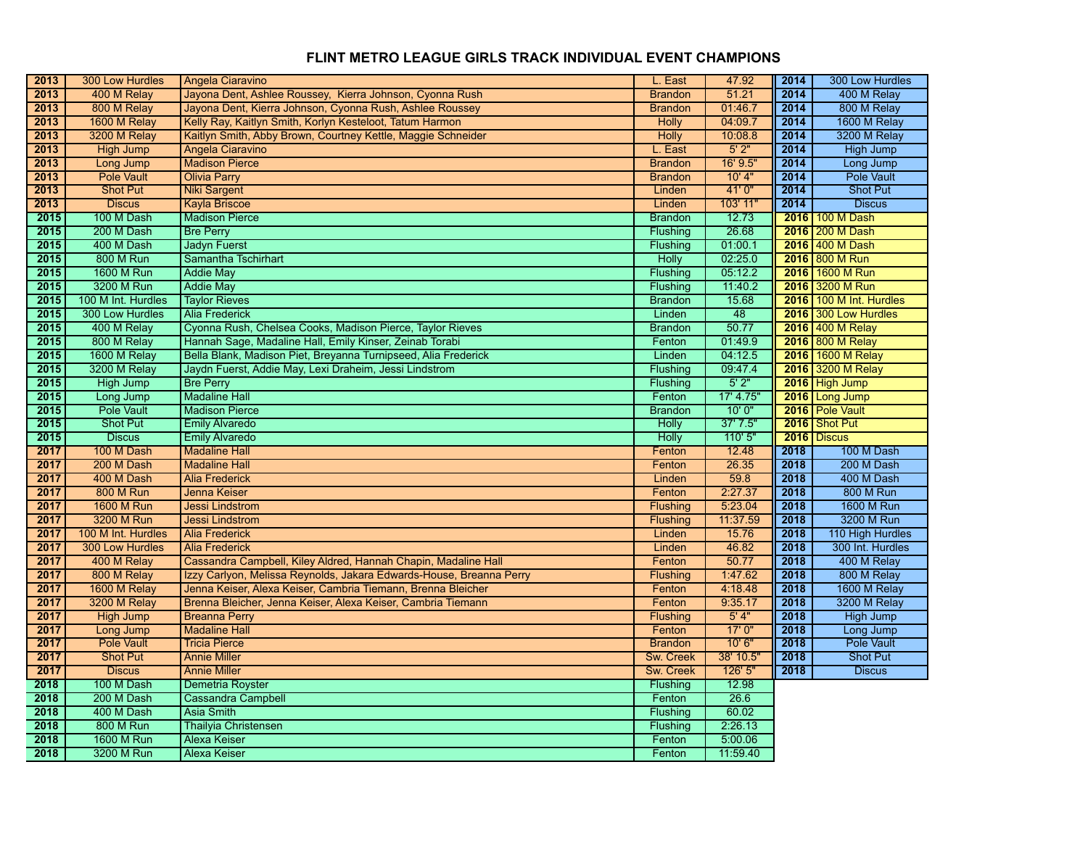| 2013 | 300 Low Hurdles    | Angela Ciaravino                                                    | L. East          | 47.92     | 2014 | 300 Low Hurdles         |
|------|--------------------|---------------------------------------------------------------------|------------------|-----------|------|-------------------------|
| 2013 | 400 M Relay        | Jayona Dent, Ashlee Roussey, Kierra Johnson, Cyonna Rush            | <b>Brandon</b>   | 51.21     | 2014 | 400 M Relay             |
| 2013 | 800 M Relay        | Jayona Dent, Kierra Johnson, Cyonna Rush, Ashlee Roussey            | <b>Brandon</b>   | 01:46.7   | 2014 | 800 M Relay             |
| 2013 | 1600 M Relay       | Kelly Ray, Kaitlyn Smith, Korlyn Kesteloot, Tatum Harmon            | <b>Holly</b>     | 04:09.7   | 2014 | 1600 M Relay            |
| 2013 | 3200 M Relay       | Kaitlyn Smith, Abby Brown, Courtney Kettle, Maggie Schneider        | <b>Holly</b>     | 10:08.8   | 2014 | 3200 M Relay            |
| 2013 | <b>High Jump</b>   | Angela Ciaravino                                                    | L. East          | 5'2"      | 2014 | High Jump               |
| 2013 | Long Jump          | <b>Madison Pierce</b>                                               | <b>Brandon</b>   | 16' 9.5"  | 2014 | Long Jump               |
| 2013 | Pole Vault         | <b>Olivia Parry</b>                                                 | <b>Brandon</b>   | $10'$ 4"  | 2014 | <b>Pole Vault</b>       |
| 2013 | <b>Shot Put</b>    | <b>Niki Sargent</b>                                                 | Linden           | 41'0''    | 2014 | <b>Shot Put</b>         |
| 2013 | <b>Discus</b>      | <b>Kayla Briscoe</b>                                                | Linden           | 103' 11"  | 2014 | <b>Discus</b>           |
| 2015 | 100 M Dash         | <b>Madison Pierce</b>                                               | <b>Brandon</b>   | 12.73     | 2016 | 100 M Dash              |
| 2015 | 200 M Dash         | <b>Bre Perry</b>                                                    | Flushing         | 26.68     |      | 2016 200 M Dash         |
| 2015 | 400 M Dash         | <b>Jadyn Fuerst</b>                                                 | Flushing         | 01:00.1   |      | 2016 400 M Dash         |
| 2015 | 800 M Run          | Samantha Tschirhart                                                 | Holly            | 02:25.0   |      | 2016 800 M Run          |
| 2015 | 1600 M Run         | <b>Addie May</b>                                                    | Flushing         | 05:12.2   | 2016 | 1600 M Run              |
| 2015 | 3200 M Run         | <b>Addie May</b>                                                    | Flushing         | 11:40.2   |      | 2016 3200 M Run         |
| 2015 | 100 M Int. Hurdles | <b>Taylor Rieves</b>                                                | <b>Brandon</b>   | 15.68     |      | 2016 100 M Int. Hurdles |
| 2015 | 300 Low Hurdles    | <b>Alia Frederick</b>                                               | Linden           | 48        |      | 2016 300 Low Hurdles    |
| 2015 | 400 M Relay        | Cyonna Rush, Chelsea Cooks, Madison Pierce, Taylor Rieves           | <b>Brandon</b>   | 50.77     |      | 2016 400 M Relay        |
| 2015 | 800 M Relay        | Hannah Sage, Madaline Hall, Emily Kinser, Zeinab Torabi             | Fenton           | 01:49.9   |      | 2016 800 M Relay        |
| 2015 | 1600 M Relay       | Bella Blank, Madison Piet, Breyanna Turnipseed, Alia Frederick      | Linden           | 04:12.5   | 2016 | 1600 M Relay            |
| 2015 | 3200 M Relay       | Jaydn Fuerst, Addie May, Lexi Draheim, Jessi Lindstrom              | Flushing         | 09:47.4   |      | 2016 3200 M Relay       |
| 2015 | <b>High Jump</b>   | <b>Bre Perry</b>                                                    | Flushing         | 5'2"      |      | 2016 High Jump          |
| 2015 | Long Jump          | <b>Madaline Hall</b>                                                | Fenton           | 17' 4.75" |      | 2016 Long Jump          |
| 2015 | <b>Pole Vault</b>  | <b>Madison Pierce</b>                                               | <b>Brandon</b>   | 10'0''    |      | 2016 Pole Vault         |
| 2015 | <b>Shot Put</b>    | <b>Emily Alvaredo</b>                                               | <b>Holly</b>     | 37'7.5''  |      | 2016 Shot Put           |
| 2015 | <b>Discus</b>      | <b>Emily Alvaredo</b>                                               | <b>Holly</b>     | 110'5"    | 2016 | <b>Discus</b>           |
| 2017 | 100 M Dash         | <b>Madaline Hall</b>                                                | Fenton           | 12.48     | 2018 | 100 M Dash              |
| 2017 | 200 M Dash         | <b>Madaline Hall</b>                                                | Fenton           | 26.35     | 2018 | 200 M Dash              |
| 2017 | 400 M Dash         | <b>Alia Frederick</b>                                               | Linden           | 59.8      | 2018 | 400 M Dash              |
| 2017 | <b>800 M Run</b>   | Jenna Keiser                                                        | Fenton           | 2:27.37   | 2018 | <b>800 M Run</b>        |
| 2017 | <b>1600 M Run</b>  | <b>Jessi Lindstrom</b>                                              | <b>Flushing</b>  | 5:23.04   | 2018 | 1600 M Run              |
| 2017 | 3200 M Run         | <b>Jessi Lindstrom</b>                                              | <b>Flushing</b>  | 11:37.59  | 2018 | 3200 M Run              |
| 2017 | 100 M Int. Hurdles | <b>Alia Frederick</b>                                               | Linden           | 15.76     | 2018 | 110 High Hurdles        |
| 2017 | 300 Low Hurdles    | <b>Alia Frederick</b>                                               | Linden           | 46.82     | 2018 | 300 Int. Hurdles        |
| 2017 | 400 M Relay        | Cassandra Campbell, Kiley Aldred, Hannah Chapin, Madaline Hall      | Fenton           | 50.77     | 2018 | 400 M Relay             |
| 2017 | 800 M Relay        | Izzy Carlyon, Melissa Reynolds, Jakara Edwards-House, Breanna Perry | <b>Flushing</b>  | 1:47.62   | 2018 | 800 M Relay             |
| 2017 | 1600 M Relay       | Jenna Keiser, Alexa Keiser, Cambria Tiemann, Brenna Bleicher        | Fenton           | 4:18.48   | 2018 | 1600 M Relay            |
| 2017 | 3200 M Relay       | Brenna Bleicher, Jenna Keiser, Alexa Keiser, Cambria Tiemann        | Fenton           | 9:35.17   | 2018 | 3200 M Relay            |
| 2017 | <b>High Jump</b>   | <b>Breanna Perry</b>                                                | <b>Flushing</b>  | 5'4"      | 2018 | High Jump               |
| 2017 | Long Jump          | <b>Madaline Hall</b>                                                | Fenton           | 17'0''    | 2018 | Long Jump               |
| 2017 | <b>Pole Vault</b>  | <b>Tricia Pierce</b>                                                | <b>Brandon</b>   | 10'6"     | 2018 | Pole Vault              |
| 2017 | <b>Shot Put</b>    | <b>Annie Miller</b>                                                 | <b>Sw. Creek</b> | 38' 10.5" | 2018 | <b>Shot Put</b>         |
| 2017 | <b>Discus</b>      | <b>Annie Miller</b>                                                 | <b>Sw. Creek</b> | 126'5''   | 2018 | <b>Discus</b>           |
| 2018 | 100 M Dash         | Demetria Royster                                                    | Flushing         | 12.98     |      |                         |
| 2018 | 200 M Dash         | <b>Cassandra Campbell</b>                                           | Fenton           | 26.6      |      |                         |
| 2018 | 400 M Dash         | <b>Asia Smith</b>                                                   | Flushing         | 60.02     |      |                         |
| 2018 | 800 M Run          | <b>Thailyia Christensen</b>                                         | Flushing         | 2:26.13   |      |                         |
| 2018 | <b>1600 M Run</b>  | <b>Alexa Keiser</b>                                                 | Fenton           | 5:00.06   |      |                         |
| 2018 | 3200 M Run         | <b>Alexa Keiser</b>                                                 | Fenton           | 11:59.40  |      |                         |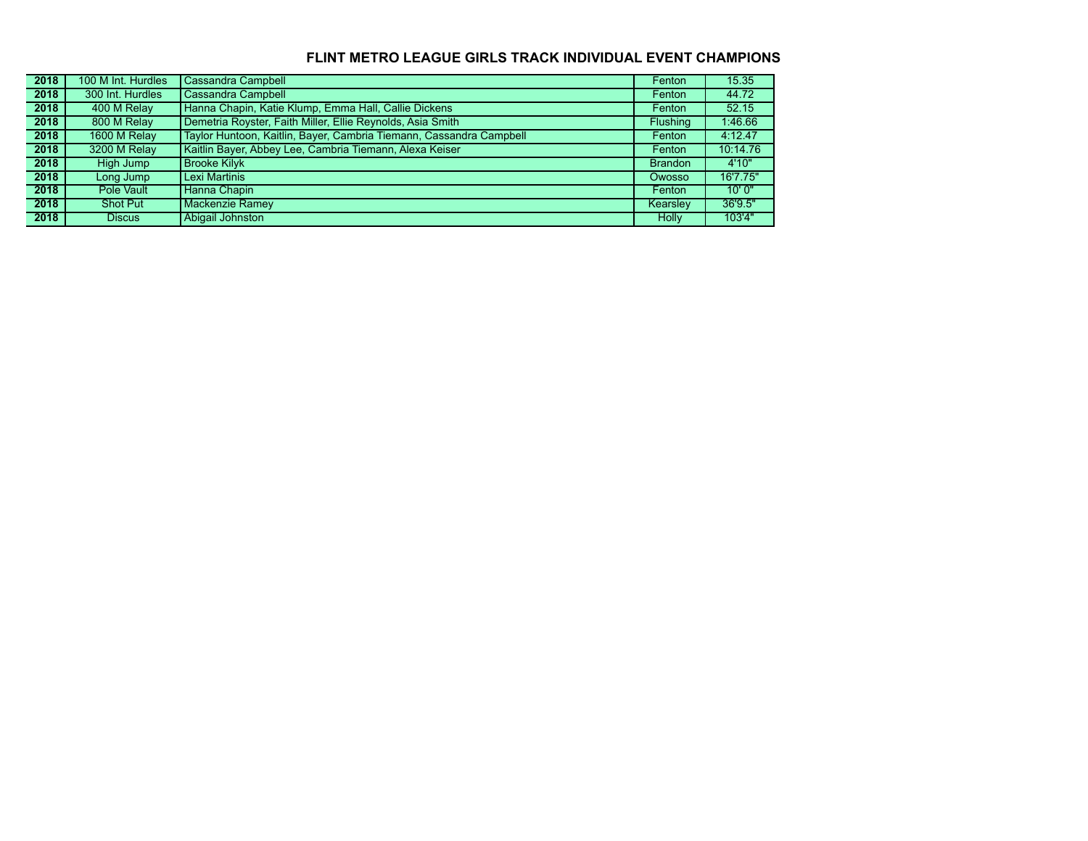| 2018 | 100 M Int. Hurdles | <b>Cassandra Campbell</b>                                           | Fenton          | 15.35    |
|------|--------------------|---------------------------------------------------------------------|-----------------|----------|
| 2018 | 300 Int. Hurdles   | <b>Cassandra Campbell</b>                                           | Fenton          | 44.72    |
| 2018 | 400 M Relay        | Hanna Chapin, Katie Klump, Emma Hall, Callie Dickens                | Fenton          | 52.15    |
| 2018 | 800 M Relay        | Demetria Royster, Faith Miller, Ellie Reynolds, Asia Smith          | <b>Flushing</b> | 1:46.66  |
| 2018 | 1600 M Relay       | Taylor Huntoon, Kaitlin, Bayer, Cambria Tiemann, Cassandra Campbell | Fenton          | 4:12.47  |
| 2018 | 3200 M Relay       | Kaitlin Bayer, Abbey Lee, Cambria Tiemann, Alexa Keiser             | Fenton          | 10:14.76 |
| 2018 | High Jump          | <b>Brooke Kilvk</b>                                                 | <b>Brandon</b>  | 4'10"    |
| 2018 | Long Jump          | Lexi Martinis                                                       | Owosso          | 16'7.75" |
| 2018 | Pole Vault         | Hanna Chapin                                                        | Fenton          | 10'0''   |
| 2018 | <b>Shot Put</b>    | <b>Mackenzie Ramey</b>                                              | <b>Kearsley</b> | 36'9.5"  |
| 2018 | Discus             | Abigail Johnston                                                    | Holly           | 103'4"   |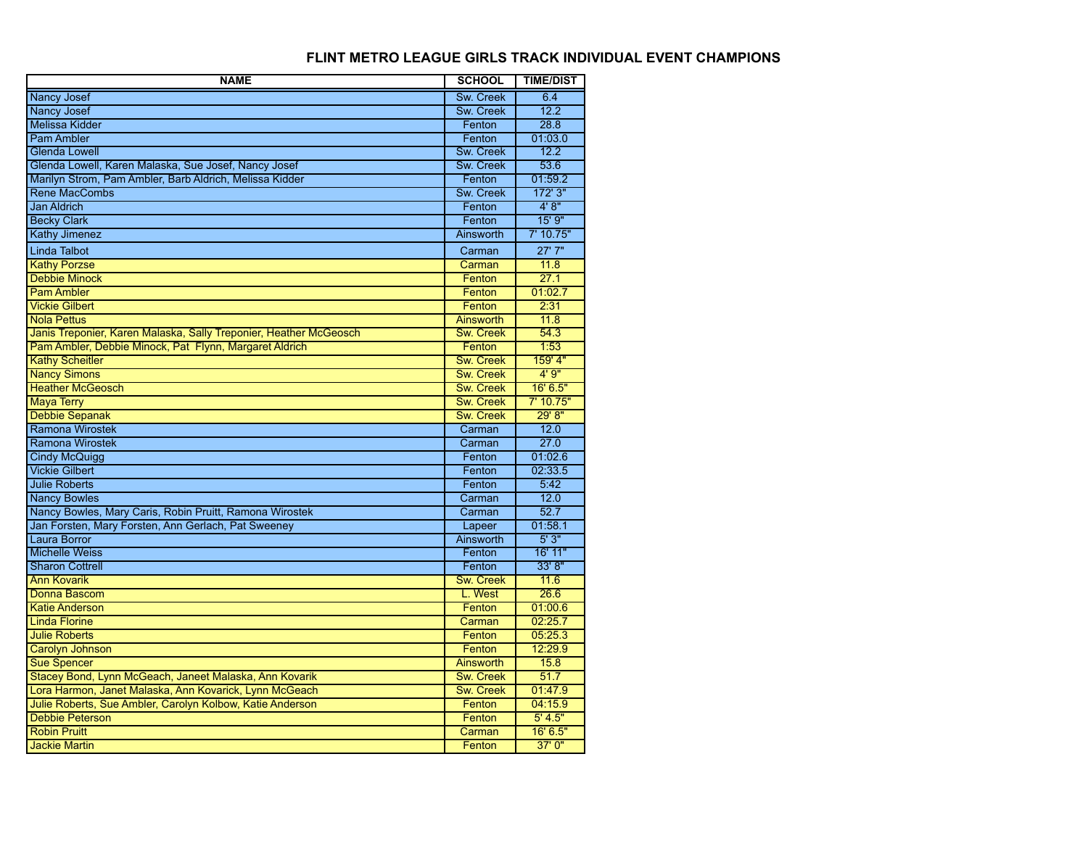| <b>NAME</b>                                                       | <b>SCHOOL</b>    | <b>TIME/DIST</b> |
|-------------------------------------------------------------------|------------------|------------------|
| Nancy Josef                                                       | Sw. Creek        | 6.4              |
| <b>Nancy Josef</b>                                                | Sw. Creek        | 12.2             |
| <b>Melissa Kidder</b>                                             | Fenton           | 28.8             |
| <b>Pam Ambler</b>                                                 | Fenton           | 01:03.0          |
| <b>Glenda Lowell</b>                                              | Sw. Creek        | 12.2             |
| Glenda Lowell, Karen Malaska, Sue Josef, Nancy Josef              | Sw. Creek        | 53.6             |
| Marilyn Strom, Pam Ambler, Barb Aldrich, Melissa Kidder           | Fenton           | 01:59.2          |
| <b>Rene MacCombs</b>                                              | Sw. Creek        | 172' 3"          |
| <b>Jan Aldrich</b>                                                | Fenton           | 4'8''            |
| <b>Becky Clark</b>                                                | Fenton           | 15'9''           |
| <b>Kathy Jimenez</b>                                              | Ainsworth        | 7'10.75"         |
| <b>Linda Talbot</b>                                               | Carman           | 27'7''           |
| <b>Kathy Porzse</b>                                               | Carman           | 11.8             |
| <b>Debbie Minock</b>                                              | Fenton           | 27.1             |
| <b>Pam Ambler</b>                                                 | Fenton           | 01:02.7          |
| <b>Vickie Gilbert</b>                                             | Fenton           | 2:31             |
| <b>Nola Pettus</b>                                                | <b>Ainsworth</b> | 11.8             |
| Janis Treponier, Karen Malaska, Sally Treponier, Heather McGeosch | <b>Sw. Creek</b> | 54.3             |
| Pam Ambler, Debbie Minock, Pat Flynn, Margaret Aldrich            | Fenton           | 1:53             |
| <b>Kathy Scheitler</b>                                            | <b>Sw. Creek</b> | 159' 4"          |
| <b>Nancy Simons</b>                                               | <b>Sw. Creek</b> | 4'9''            |
| <b>Heather McGeosch</b>                                           | Sw. Creek        | 16' 6.5"         |
| <b>Maya Terry</b>                                                 | <b>Sw. Creek</b> | 7' 10.75"        |
| <b>Debbie Sepanak</b>                                             | <b>Sw. Creek</b> | 29' 8''          |
| <b>Ramona Wirostek</b>                                            | Carman           | 12.0             |
| Ramona Wirostek                                                   | Carman           | 27.0             |
| <b>Cindy McQuigg</b>                                              | Fenton           | 01:02.6          |
| <b>Vickie Gilbert</b>                                             | Fenton           | 02:33.5          |
| <b>Julie Roberts</b>                                              | Fenton           | 5:42             |
| <b>Nancy Bowles</b>                                               | Carman           | 12.0             |
| Nancy Bowles, Mary Caris, Robin Pruitt, Ramona Wirostek           | Carman           | 52.7             |
| Jan Forsten, Mary Forsten, Ann Gerlach, Pat Sweeney               | Lapeer           | 01:58.1          |
| <b>Laura Borror</b>                                               | Ainsworth        | 5'3''            |
| <b>Michelle Weiss</b>                                             | Fenton           | 16' 11"          |
| <b>Sharon Cottrell</b>                                            | Fenton           | 33' 8''          |
| <b>Ann Kovarik</b>                                                | Sw. Creek        | 11.6             |
| Donna Bascom                                                      | L. West          | 26.6             |
| <b>Katie Anderson</b>                                             | Fenton           | 01:00.6          |
| <b>Linda Florine</b>                                              | Carman           | 02:25.7          |
| <b>Julie Roberts</b>                                              | Fenton           | 05:25.3          |
| <b>Carolyn Johnson</b>                                            | Fenton           | 12:29.9          |
| <b>Sue Spencer</b>                                                | <b>Ainsworth</b> | 15.8             |
| Stacey Bond, Lynn McGeach, Janeet Malaska, Ann Kovarik            | <b>Sw. Creek</b> | 51.7             |
| Lora Harmon, Janet Malaska, Ann Kovarick, Lynn McGeach            | <b>Sw. Creek</b> | 01:47.9          |
| Julie Roberts, Sue Ambler, Carolyn Kolbow, Katie Anderson         | Fenton           | 04:15.9          |
| <b>Debbie Peterson</b>                                            | Fenton           | 5' 4.5"          |
| <b>Robin Pruitt</b>                                               | Carman           | 16' 6.5"         |
| <b>Jackie Martin</b>                                              | Fenton           | 37'0''           |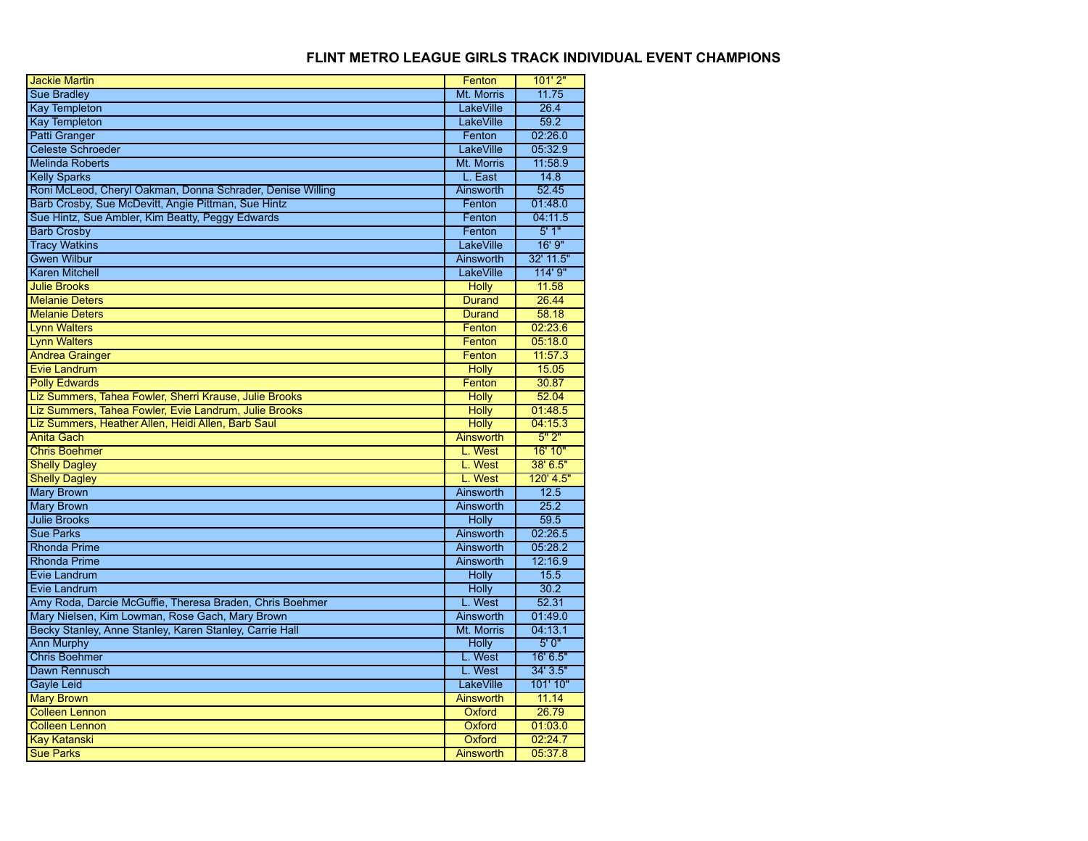| <b>Jackie Martin</b>                                       | Fenton           | 101'2"     |
|------------------------------------------------------------|------------------|------------|
| <b>Sue Bradlev</b>                                         | Mt. Morris       | 11.75      |
| <b>Kay Templeton</b>                                       | <b>LakeVille</b> | 26.4       |
| <b>Kay Templeton</b>                                       | LakeVille        | 59.2       |
| <b>Patti Granger</b>                                       | Fenton           | 02:26.0    |
| <b>Celeste Schroeder</b>                                   | <b>LakeVille</b> | 05:32.9    |
| <b>Melinda Roberts</b>                                     | Mt. Morris       | 11:58.9    |
| <b>Kelly Sparks</b>                                        | L. East          | 14.8       |
| Roni McLeod, Cheryl Oakman, Donna Schrader, Denise Willing | Ainsworth        | 52.45      |
| Barb Crosby, Sue McDevitt, Angie Pittman, Sue Hintz        | Fenton           | 01:48.0    |
| Sue Hintz, Sue Ambler, Kim Beatty, Peggy Edwards           | Fenton           | 04:11.5    |
| <b>Barb Crosby</b>                                         | Fenton           | 5'1"       |
| <b>Tracy Watkins</b>                                       | <b>LakeVille</b> | 16'9''     |
| <b>Gwen Wilbur</b>                                         | <b>Ainsworth</b> | 32' 11.5"  |
| <b>Karen Mitchell</b>                                      | LakeVille        | 114' 9"    |
| <b>Julie Brooks</b>                                        | <b>Holly</b>     | 11.58      |
| <b>Melanie Deters</b>                                      | <b>Durand</b>    | 26.44      |
| <b>Melanie Deters</b>                                      | <b>Durand</b>    | 58.18      |
| <b>Lynn Walters</b>                                        | Fenton           | 02:23.6    |
| <b>Lynn Walters</b>                                        | Fenton           | 05:18.0    |
| <b>Andrea Grainger</b>                                     | Fenton           | 11:57.3    |
| <b>Evie Landrum</b>                                        | <b>Holly</b>     | 15.05      |
| <b>Polly Edwards</b>                                       | Fenton           | 30.87      |
| Liz Summers, Tahea Fowler, Sherri Krause, Julie Brooks     | <b>Holly</b>     | 52.04      |
| Liz Summers, Tahea Fowler, Evie Landrum, Julie Brooks      | <b>Holly</b>     | 01:48.5    |
| Liz Summers, Heather Allen, Heidi Allen, Barb Saul         | <b>Holly</b>     | 04:15.3    |
| <b>Anita Gach</b>                                          | Ainsworth        | 5"2"       |
| <b>Chris Boehmer</b>                                       | L. West          | 16' 10"    |
| <b>Shelly Dagley</b>                                       | L. West          | $38'$ 6.5" |
| <b>Shelly Dagley</b>                                       | L. West          | 120' 4.5"  |
| <b>Mary Brown</b>                                          | Ainsworth        | 12.5       |
| <b>Mary Brown</b>                                          | Ainsworth        | 25.2       |
| <b>Julie Brooks</b>                                        | <b>Holly</b>     | 59.5       |
| <b>Sue Parks</b>                                           | <b>Ainsworth</b> | 02:26.5    |
| <b>Rhonda Prime</b>                                        | Ainsworth        | 05:28.2    |
| <b>Rhonda Prime</b>                                        | <b>Ainsworth</b> | 12:16.9    |
| Evie Landrum                                               | <b>Holly</b>     | 15.5       |
| Evie Landrum                                               | <b>Holly</b>     | 30.2       |
| Amy Roda, Darcie McGuffie, Theresa Braden, Chris Boehmer   | L. West          | 52.31      |
| Mary Nielsen, Kim Lowman, Rose Gach, Mary Brown            | <b>Ainsworth</b> | 01:49.0    |
| Becky Stanley, Anne Stanley, Karen Stanley, Carrie Hall    | Mt. Morris       | 04:13.1    |
| <b>Ann Murphy</b>                                          | <b>Holly</b>     | 5'0''      |
| <b>Chris Boehmer</b>                                       | L. West          | 16' 6.5"   |
| Dawn Rennusch                                              | L. West          | 34' 3.5"   |
| <b>Gayle Leid</b>                                          | LakeVille        | 101' 10"   |
| <b>Mary Brown</b>                                          | <b>Ainsworth</b> | 11.14      |
| <b>Colleen Lennon</b>                                      | Oxford           | 26.79      |
| <b>Colleen Lennon</b>                                      | Oxford           | 01:03.0    |
| <b>Kay Katanski</b>                                        | Oxford           | 02:24.7    |
| <b>Sue Parks</b>                                           | Ainsworth        | 05:37.8    |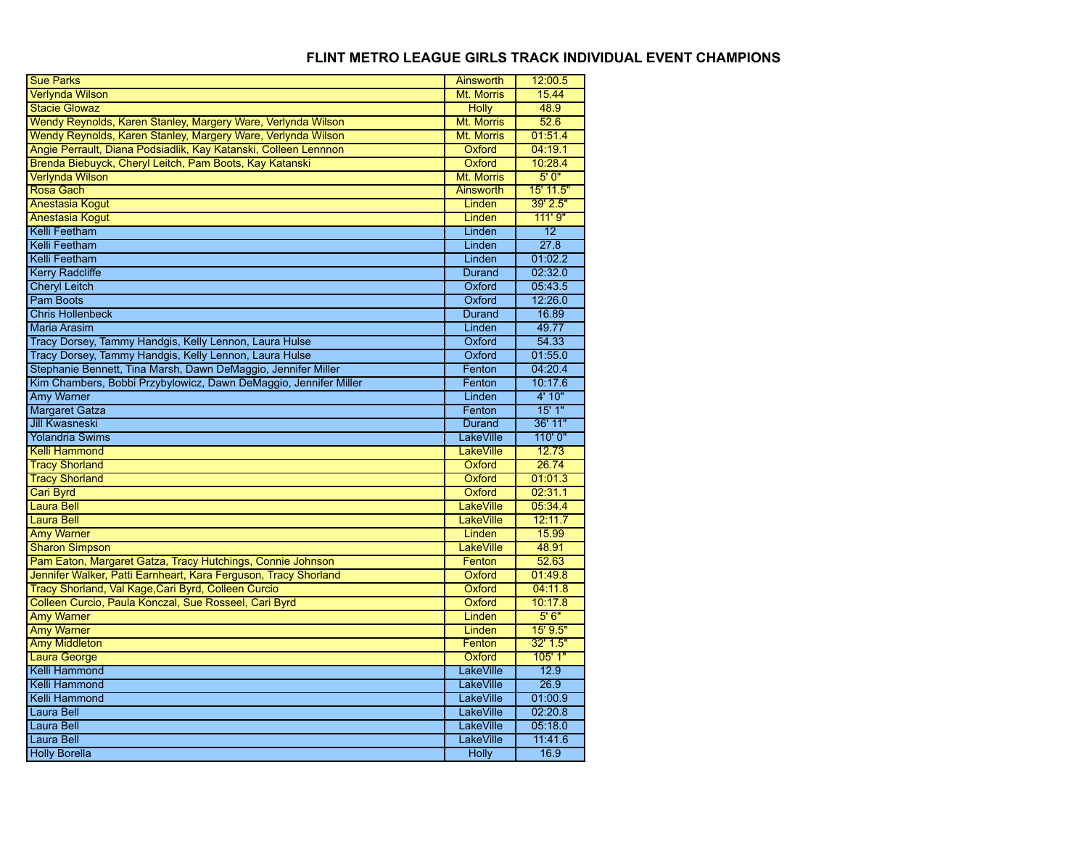| <b>Sue Parks</b>                                                 | Ainsworth                 | 12:00.5         |
|------------------------------------------------------------------|---------------------------|-----------------|
| <b>Verlynda Wilson</b>                                           | Mt. Morris                | 15.44           |
| <b>Stacie Glowaz</b>                                             | <b>Holly</b>              | 48.9            |
| Wendy Reynolds, Karen Stanley, Margery Ware, Verlynda Wilson     | Mt. Morris                | 52.6            |
| Wendy Reynolds, Karen Stanley, Margery Ware, Verlynda Wilson     | Mt. Morris                | 01:51.4         |
| Angie Perrault, Diana Podsiadlik, Kay Katanski, Colleen Lennnon  | Oxford                    | 04:19.1         |
| Brenda Biebuyck, Cheryl Leitch, Pam Boots, Kay Katanski          | Oxford                    | 10:28.4         |
| Verlynda Wilson                                                  | Mt. Morris                | 5'0''           |
| Rosa Gach                                                        | <b>Ainsworth</b>          | 15' 11.5"       |
| <b>Anestasia Kogut</b>                                           | Linden                    | 39' 2.5"        |
| <b>Anestasia Kogut</b>                                           | Linden                    | 111'9''         |
| Kelli Feetham                                                    | Linden                    | 12              |
| Kelli Feetham                                                    | Linden                    | 27.8            |
| Kelli Feetham                                                    | Linden                    | 01:02.2         |
| <b>Kerry Radcliffe</b>                                           | <b>Durand</b>             | 02:32.0         |
| <b>Cheryl Leitch</b>                                             | Oxford                    | 05:43.5         |
| <b>Pam Boots</b>                                                 | Oxford                    | 12:26.0         |
| <b>Chris Hollenbeck</b>                                          | <b>Durand</b>             | 16.89           |
| <b>Maria Arasim</b>                                              | Linden                    | 49.77           |
| Tracy Dorsey, Tammy Handgis, Kelly Lennon, Laura Hulse           | Oxford                    | 54.33           |
| Tracy Dorsey, Tammy Handgis, Kelly Lennon, Laura Hulse           | Oxford                    | 01:55.0         |
| Stephanie Bennett, Tina Marsh, Dawn DeMaggio, Jennifer Miller    | Fenton                    | 04:20.4         |
| Kim Chambers, Bobbi Przybylowicz, Dawn DeMaggio, Jennifer Miller | Fenton                    | 10:17.6         |
| <b>Amy Warner</b>                                                | Linden                    | 4' 10"          |
| <b>Margaret Gatza</b>                                            | Fenton                    | 15'1"           |
|                                                                  |                           |                 |
| <b>Jill Kwasneski</b>                                            | <b>Durand</b>             | 36' 11"         |
| <b>Yolandria Swims</b>                                           | LakeVille                 | 110'0"          |
| <b>Kelli Hammond</b>                                             | <b>LakeVille</b>          | 12.73           |
| <b>Tracy Shorland</b>                                            | Oxford                    | 26.74           |
| <b>Tracy Shorland</b>                                            | Oxford                    | 01:01.3         |
| Cari Byrd                                                        | Oxford                    | 02:31.1         |
| <b>Laura Bell</b>                                                | LakeVille                 | 05:34.4         |
| Laura Bell                                                       | <b>LakeVille</b>          | 12:11.7         |
| <b>Amy Warner</b>                                                | Linden                    | 15.99           |
| <b>Sharon Simpson</b>                                            | LakeVille                 | 48.91           |
| Pam Eaton, Margaret Gatza, Tracy Hutchings, Connie Johnson       | Fenton                    | 52.63           |
| Jennifer Walker, Patti Earnheart, Kara Ferguson, Tracy Shorland  | Oxford                    | 01:49.8         |
| Tracy Shorland, Val Kage, Cari Byrd, Colleen Curcio              | Oxford                    | 04:11.8         |
| Colleen Curcio, Paula Konczal, Sue Rosseel, Cari Byrd            | Oxford                    | 10:17.8         |
| <b>Amy Warner</b>                                                | Linden                    | 5'6''           |
| Amy Warner                                                       | Linden                    | $15'$ $9.5''$   |
| <b>Amy Middleton</b>                                             | Fenton                    | 32' 1.5"        |
|                                                                  | Oxford                    | 105'1"          |
| Laura George<br>Kelli Hammond                                    | LakeVille                 | 12.9            |
| Kelli Hammond                                                    | LakeVille                 | 26.9            |
| <b>Kelli Hammond</b>                                             | LakeVille                 | 01:00.9         |
| <b>Laura Bell</b>                                                | LakeVille                 | 02:20.8         |
| Laura Bell                                                       | LakeVille                 | 05:18.0         |
| <b>Laura Bell</b><br><b>Holly Borella</b>                        | LakeVille<br><b>Holly</b> | 11:41.6<br>16.9 |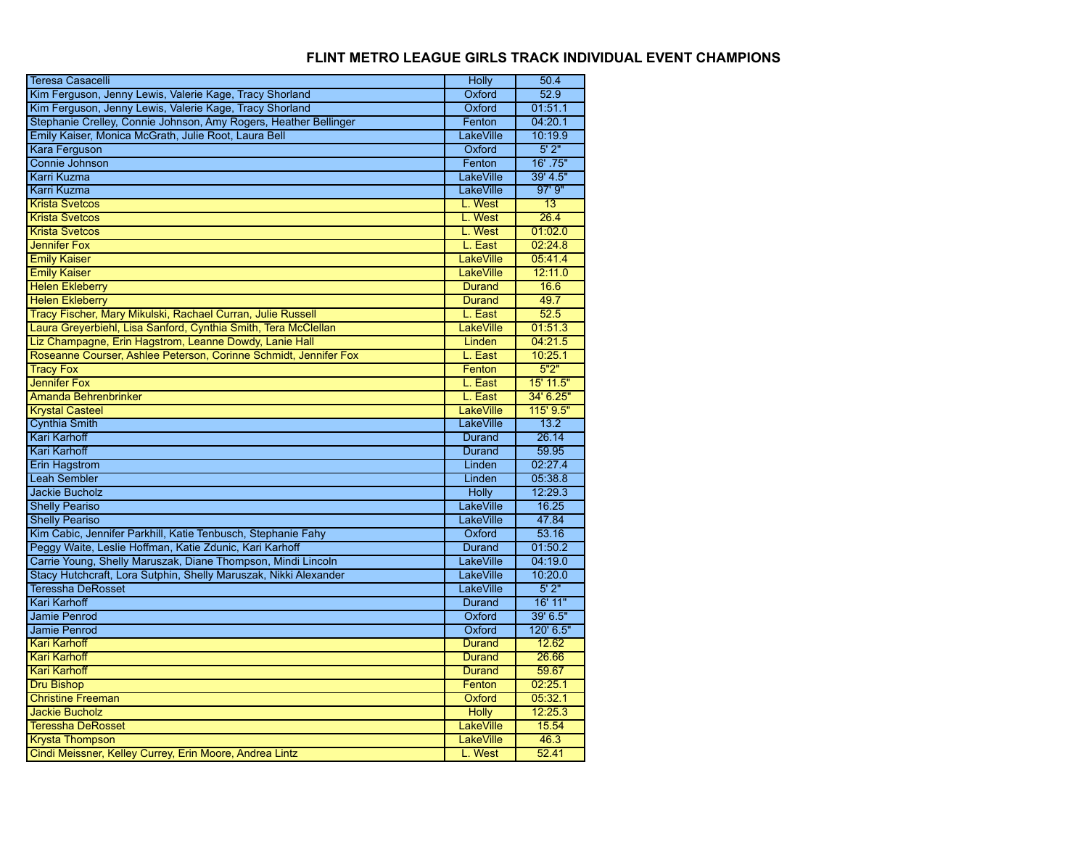| <b>Teresa Casacelli</b>                                          | <b>Holly</b>     | 50.4            |
|------------------------------------------------------------------|------------------|-----------------|
| Kim Ferguson, Jenny Lewis, Valerie Kage, Tracy Shorland          | Oxford           | 52.9            |
| Kim Ferguson, Jenny Lewis, Valerie Kage, Tracy Shorland          | Oxford           | 01:51.1         |
| Stephanie Crelley, Connie Johnson, Amy Rogers, Heather Bellinger | Fenton           | 04:20.1         |
| Emily Kaiser, Monica McGrath, Julie Root, Laura Bell             | LakeVille        | 10:19.9         |
| Kara Ferguson                                                    | Oxford           | 5'2"            |
| Connie Johnson                                                   | Fenton           | $16'$ .75"      |
| Karri Kuzma                                                      | LakeVille        | 39' 4.5"        |
| Karri Kuzma                                                      | LakeVille        | $97'$ $9''$     |
| <b>Krista Svetcos</b>                                            | L. West          | $\overline{13}$ |
| <b>Krista Svetcos</b>                                            | L. West          | 26.4            |
| <b>Krista Svetcos</b>                                            | L. West          | 01:02.0         |
| <b>Jennifer Fox</b>                                              | L. East          | 02:24.8         |
| <b>Emily Kaiser</b>                                              | LakeVille        | 05:41.4         |
| <b>Emily Kaiser</b>                                              | <b>LakeVille</b> | 12:11.0         |
| <b>Helen Ekleberry</b>                                           | <b>Durand</b>    | 16.6            |
| <b>Helen Ekleberry</b>                                           | <b>Durand</b>    | 49.7            |
| Tracy Fischer, Mary Mikulski, Rachael Curran, Julie Russell      | L. East          | 52.5            |
| Laura Greyerbiehl, Lisa Sanford, Cynthia Smith, Tera McClellan   | LakeVille        | 01:51.3         |
| Liz Champagne, Erin Hagstrom, Leanne Dowdy, Lanie Hall           | Linden           | 04:21.5         |
| Roseanne Courser, Ashlee Peterson, Corinne Schmidt, Jennifer Fox | L. East          | 10:25.1         |
| <b>Tracy Fox</b>                                                 | Fenton           | 5"2"            |
| <b>Jennifer Fox</b>                                              | L. East          | 15' 11.5"       |
| <b>Amanda Behrenbrinker</b>                                      | L. East          | 34' 6.25"       |
| <b>Krystal Casteel</b>                                           | LakeVille        | $115'$ $9.5"$   |
| <b>Cynthia Smith</b>                                             | LakeVille        | 13.2            |
| <b>Kari Karhoff</b>                                              | <b>Durand</b>    | 26.14           |
| <b>Kari Karhoff</b>                                              | <b>Durand</b>    | 59.95           |
| <b>Erin Hagstrom</b>                                             | Linden           | 02:27.4         |
| <b>Leah Sembler</b>                                              | Linden           | 05:38.8         |
| Jackie Bucholz                                                   | Holly            | 12:29.3         |
| <b>Shelly Peariso</b>                                            | LakeVille        | 16.25           |
| <b>Shelly Peariso</b>                                            | LakeVille        | 47.84           |
| Kim Cabic, Jennifer Parkhill, Katie Tenbusch, Stephanie Fahy     | Oxford           | 53.16           |
| Peggy Waite, Leslie Hoffman, Katie Zdunic, Kari Karhoff          | <b>Durand</b>    | 01:50.2         |
| Carrie Young, Shelly Maruszak, Diane Thompson, Mindi Lincoln     | LakeVille        | 04:19.0         |
| Stacy Hutchcraft, Lora Sutphin, Shelly Maruszak, Nikki Alexander | LakeVille        | 10:20.0         |
| <b>Teressha DeRosset</b>                                         | LakeVille        | 5'2"            |
| <b>Kari Karhoff</b>                                              | Durand           | 16' 11"         |
| Jamie Penrod                                                     | Oxford           | 39' 6.5"        |
| Jamie Penrod                                                     | Oxford           | 120' 6.5"       |
| <b>Kari Karhoff</b>                                              | <b>Durand</b>    | 12.62           |
| <b>Kari Karhoff</b>                                              | Durand           | 26.66           |
| <b>Kari Karhoff</b>                                              | <b>Durand</b>    | 59.67           |
| <b>Dru Bishop</b>                                                | Fenton           | 02:25.1         |
| <b>Christine Freeman</b>                                         | Oxford           | 05:32.1         |
| <b>Jackie Bucholz</b>                                            | <b>Holly</b>     | 12:25.3         |
| <b>Teressha DeRosset</b>                                         | LakeVille        | 15.54           |
| <b>Krysta Thompson</b>                                           | LakeVille        | 46.3            |
| Cindi Meissner, Kelley Currey, Erin Moore, Andrea Lintz          | L. West          | 52.41           |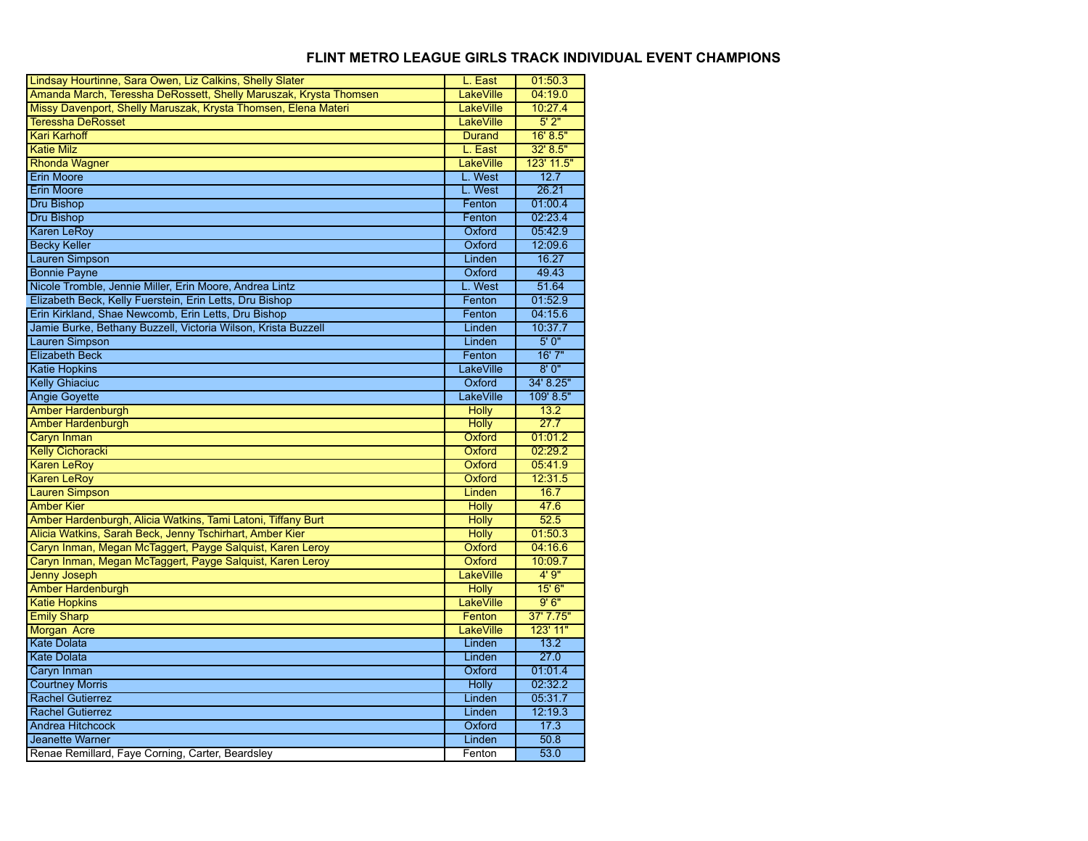| Lindsay Hourtinne, Sara Owen, Liz Calkins, Shelly Slater          | L. East          | 01:50.3    |
|-------------------------------------------------------------------|------------------|------------|
| Amanda March, Teressha DeRossett, Shelly Maruszak, Krysta Thomsen | <b>LakeVille</b> | 04:19.0    |
| Missy Davenport, Shelly Maruszak, Krysta Thomsen, Elena Materi    | <b>LakeVille</b> | 10:27.4    |
| <b>Teressha DeRosset</b>                                          | <b>LakeVille</b> | 5'2"       |
| <b>Kari Karhoff</b>                                               | <b>Durand</b>    | 16' 8.5"   |
| <b>Katie Milz</b>                                                 | L. East          | 32' 8.5"   |
| <b>Rhonda Wagner</b>                                              | <b>LakeVille</b> | 123' 11.5" |
| <b>Erin Moore</b>                                                 | L. West          | 12.7       |
| <b>Erin Moore</b>                                                 | L. West          | 26.21      |
| <b>Dru Bishop</b>                                                 | Fenton           | 01:00.4    |
| <b>Dru Bishop</b>                                                 | Fenton           | 02:23.4    |
| <b>Karen LeRoy</b>                                                | Oxford           | 05:42.9    |
| <b>Becky Keller</b>                                               | Oxford           | 12:09.6    |
| <b>Lauren Simpson</b>                                             | Linden           | 16.27      |
| <b>Bonnie Payne</b>                                               | Oxford           | 49.43      |
| Nicole Tromble, Jennie Miller, Erin Moore, Andrea Lintz           | L. West          | 51.64      |
| Elizabeth Beck, Kelly Fuerstein, Erin Letts, Dru Bishop           | Fenton           | 01:52.9    |
| Erin Kirkland, Shae Newcomb, Erin Letts, Dru Bishop               | Fenton           | 04:15.6    |
| Jamie Burke, Bethany Buzzell, Victoria Wilson, Krista Buzzell     | Linden           | 10:37.7    |
| <b>Lauren Simpson</b>                                             | Linden           | 5'0''      |
| <b>Elizabeth Beck</b>                                             | Fenton           | 16'7''     |
| <b>Katie Hopkins</b>                                              | <b>LakeVille</b> | 8'0''      |
| <b>Kelly Ghiaciuc</b>                                             | Oxford           | 34' 8.25"  |
| <b>Angie Goyette</b>                                              | <b>LakeVille</b> | 109' 8.5"  |
| Amber Hardenburgh                                                 | <b>Holly</b>     | 13.2       |
| <b>Amber Hardenburgh</b>                                          | <b>Holly</b>     | 27.7       |
| Caryn Inman                                                       | Oxford           | 01:01.2    |
| <b>Kelly Cichoracki</b>                                           | Oxford           | 02:29.2    |
| <b>Karen LeRoy</b>                                                | Oxford           | 05:41.9    |
| <b>Karen LeRoy</b>                                                | Oxford           | 12:31.5    |
| <b>Lauren Simpson</b>                                             | Linden           | 16.7       |
| <b>Amber Kier</b>                                                 | <b>Holly</b>     | 47.6       |
| Amber Hardenburgh, Alicia Watkins, Tami Latoni, Tiffany Burt      | <b>Holly</b>     | 52.5       |
| Alicia Watkins, Sarah Beck, Jenny Tschirhart, Amber Kier          | <b>Holly</b>     | 01:50.3    |
| Caryn Inman, Megan McTaggert, Payge Salquist, Karen Leroy         | Oxford           | 04:16.6    |
| Caryn Inman, Megan McTaggert, Payge Salquist, Karen Leroy         | Oxford           | 10:09.7    |
| <b>Jenny Joseph</b>                                               | <b>LakeVille</b> | 4'9''      |
| <b>Amber Hardenburgh</b>                                          | <b>Holly</b>     | 15' 6"     |
| <b>Katie Hopkins</b>                                              | LakeVille        | 9'6''      |
| <b>Emily Sharp</b>                                                | Fenton           | 37' 7.75"  |
| Morgan Acre                                                       | LakeVille        | 123' 11"   |
| <b>Kate Dolata</b>                                                | Linden           | 13.2       |
| <b>Kate Dolata</b>                                                | Linden           | 27.0       |
| Caryn Inman                                                       | Oxford           | 01:01.4    |
| <b>Courtney Morris</b>                                            | <b>Holly</b>     | 02:32.2    |
| <b>Rachel Gutierrez</b>                                           | Linden           | 05:31.7    |
| <b>Rachel Gutierrez</b>                                           | Linden           | 12:19.3    |
| <b>Andrea Hitchcock</b>                                           | Oxford           | 17.3       |
| Jeanette Warner                                                   | Linden           | 50.8       |
| Renae Remillard, Faye Corning, Carter, Beardsley                  | Fenton           | 53.0       |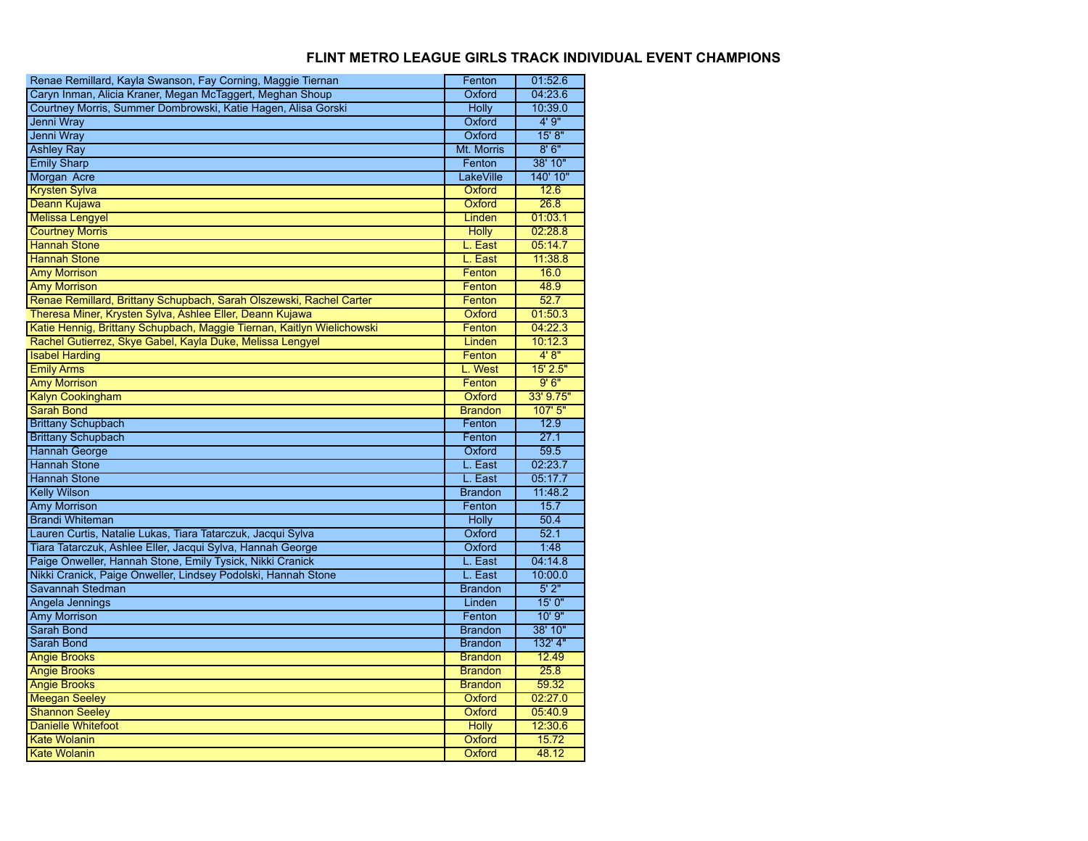| Renae Remillard, Kayla Swanson, Fay Corning, Maggie Tiernan            | Fenton         | 01:52.6        |
|------------------------------------------------------------------------|----------------|----------------|
| Caryn Inman, Alicia Kraner, Megan McTaggert, Meghan Shoup              | Oxford         | 04:23.6        |
| Courtney Morris, Summer Dombrowski, Katie Hagen, Alisa Gorski          | <b>Holly</b>   | 10:39.0        |
| Jenni Wray                                                             | Oxford         | 4'9''          |
| Jenni Wray                                                             | Oxford         | 15' 8''        |
| <b>Ashley Ray</b>                                                      | Mt. Morris     | 8'6''          |
| <b>Emily Sharp</b>                                                     | Fenton         | 38' 10"        |
| Morgan Acre                                                            | LakeVille      | 140' 10"       |
| <b>Krysten Sylva</b>                                                   | Oxford         | 12.6           |
| Deann Kujawa                                                           | Oxford         | 26.8           |
| <b>Melissa Lengyel</b>                                                 | Linden         | 01:03.1        |
| <b>Courtney Morris</b>                                                 | <b>Holly</b>   | 02:28.8        |
| <b>Hannah Stone</b>                                                    | L. East        | 05:14.7        |
| <b>Hannah Stone</b>                                                    | L. East        | 11:38.8        |
| <b>Amy Morrison</b>                                                    | Fenton         | 16.0           |
| <b>Amy Morrison</b>                                                    | Fenton         | 48.9           |
| Renae Remillard, Brittany Schupbach, Sarah Olszewski, Rachel Carter    | Fenton         | 52.7           |
| Theresa Miner, Krysten Sylva, Ashlee Eller, Deann Kujawa               | Oxford         | 01:50.3        |
| Katie Hennig, Brittany Schupbach, Maggie Tiernan, Kaitlyn Wielichowski | Fenton         | 04:22.3        |
| Rachel Gutierrez, Skye Gabel, Kayla Duke, Melissa Lengyel              | Linden         | 10:12.3        |
| <b>Isabel Harding</b>                                                  | Fenton         | 4'8"           |
| <b>Emily Arms</b>                                                      | L. West        | 15' 2.5"       |
| <b>Amy Morrison</b>                                                    | Fenton         | 9'6''          |
| <b>Kalyn Cookingham</b>                                                | Oxford         | 33' 9.75"      |
| <b>Sarah Bond</b>                                                      | <b>Brandon</b> | 107'5''        |
|                                                                        |                |                |
| <b>Brittany Schupbach</b>                                              | Fenton         | 12.9           |
| <b>Brittany Schupbach</b>                                              | Fenton         | 27.1           |
| <b>Hannah George</b>                                                   | Oxford         | 59.5           |
| <b>Hannah Stone</b>                                                    | L. East        | 02:23.7        |
| <b>Hannah Stone</b>                                                    | L. East        | 05:17.7        |
| <b>Kelly Wilson</b>                                                    | <b>Brandon</b> | 11:48.2        |
| <b>Amy Morrison</b>                                                    | Fenton         | 15.7           |
| <b>Brandi Whiteman</b>                                                 | <b>Holly</b>   | 50.4           |
| Lauren Curtis, Natalie Lukas, Tiara Tatarczuk, Jacqui Sylva            | Oxford         | 52.1           |
| Tiara Tatarczuk, Ashlee Eller, Jacqui Sylva, Hannah George             | Oxford         | 1:48           |
| Paige Onweller, Hannah Stone, Emily Tysick, Nikki Cranick              | L. East        | 04:14.8        |
| Nikki Cranick, Paige Onweller, Lindsey Podolski, Hannah Stone          | L. East        | 10:00.0        |
| Savannah Stedman                                                       | <b>Brandon</b> | 5'2"           |
| Angela Jennings                                                        | Linden         | 15'0''         |
| <b>Amy Morrison</b>                                                    | Fenton         | 10'9''         |
| <b>Sarah Bond</b>                                                      | <b>Brandon</b> | 38' 10"        |
| Sarah Bond                                                             | <b>Brandon</b> | 132' 4"        |
| <b>Angie Brooks</b>                                                    | <b>Brandon</b> | 12.49          |
| <b>Angie Brooks</b>                                                    | <b>Brandon</b> | 25.8           |
| <b>Angie Brooks</b>                                                    | <b>Brandon</b> | 59.32          |
| <b>Meegan Seeley</b>                                                   | Oxford         | 02:27.0        |
| <b>Shannon Seeley</b>                                                  | Oxford         | 05:40.9        |
| <b>Danielle Whitefoot</b>                                              | <b>Holly</b>   | 12:30.6        |
| <b>Kate Wolanin</b>                                                    | Oxford         | 15.72<br>48.12 |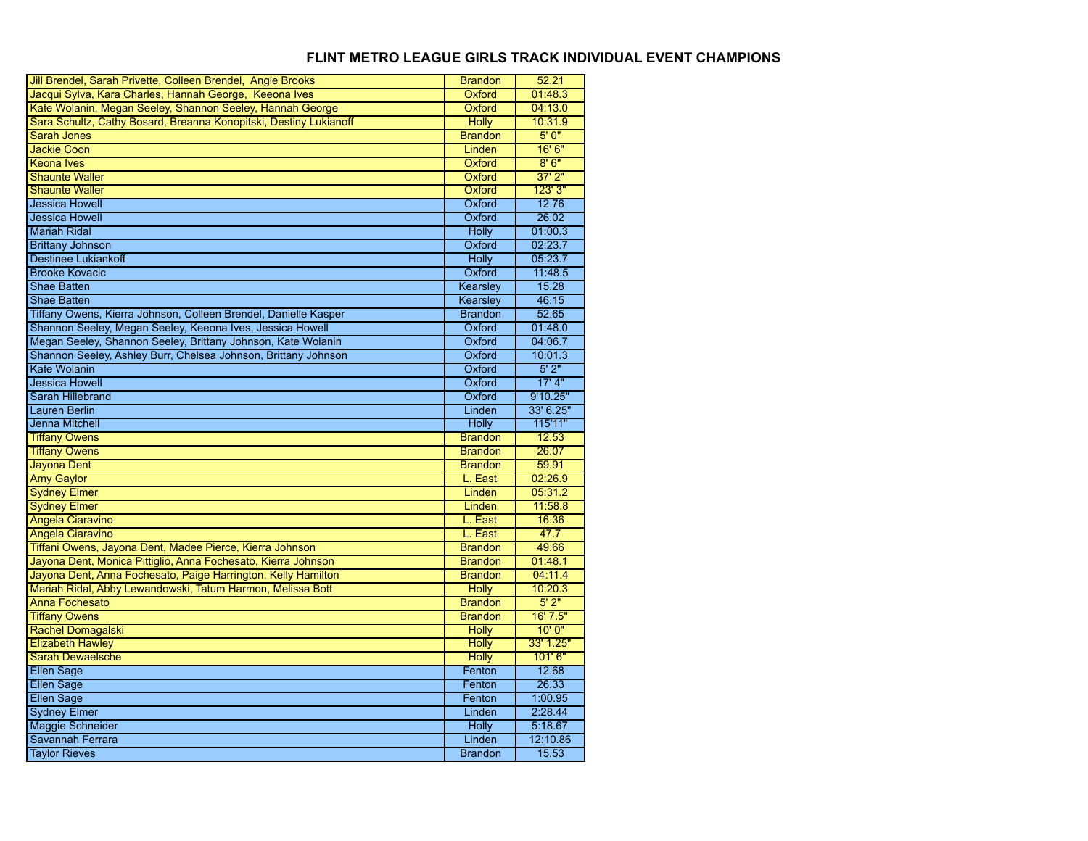| Jill Brendel, Sarah Privette, Colleen Brendel, Angie Brooks       | Brandon                  | 52.21             |
|-------------------------------------------------------------------|--------------------------|-------------------|
| Jacqui Sylva, Kara Charles, Hannah George, Keeona Ives            | Oxford                   | 01:48.3           |
| Kate Wolanin, Megan Seeley, Shannon Seeley, Hannah George         | Oxford                   | 04:13.0           |
| Sara Schultz, Cathy Bosard, Breanna Konopitski, Destiny Lukianoff | <b>Holly</b>             | 10:31.9           |
| <b>Sarah Jones</b>                                                | <b>Brandon</b>           | 5'0''             |
| <b>Jackie Coon</b>                                                | Linden                   | 16' 6''           |
| <b>Keona Ives</b>                                                 | Oxford                   | 8'6''             |
| <b>Shaunte Waller</b>                                             | Oxford                   | $37'$ $2"$        |
| <b>Shaunte Waller</b>                                             | Oxford                   | 123'3''           |
| <b>Jessica Howell</b>                                             | Oxford                   | 12.76             |
| <b>Jessica Howell</b>                                             | Oxford                   | 26.02             |
| <b>Mariah Ridal</b>                                               | <b>Holly</b>             | 01:00.3           |
| <b>Brittany Johnson</b>                                           | Oxford                   | 02:23.7           |
| <b>Destinee Lukiankoff</b>                                        | Holly                    | 05:23.7           |
| <b>Brooke Kovacic</b>                                             | Oxford                   | 11:48.5           |
| <b>Shae Batten</b>                                                | Kearsley                 | 15.28             |
| <b>Shae Batten</b>                                                | Kearsley                 | 46.15             |
| Tiffany Owens, Kierra Johnson, Colleen Brendel, Danielle Kasper   | <b>Brandon</b>           | 52.65             |
| Shannon Seeley, Megan Seeley, Keeona Ives, Jessica Howell         | Oxford                   | 01:48.0           |
| Megan Seeley, Shannon Seeley, Brittany Johnson, Kate Wolanin      | Oxford                   | 04:06.7           |
| Shannon Seeley, Ashley Burr, Chelsea Johnson, Brittany Johnson    | Oxford                   | 10:01.3           |
| <b>Kate Wolanin</b>                                               | Oxford                   | 5'2"              |
| <b>Jessica Howell</b>                                             | Oxford                   | $17'$ 4"          |
| Sarah Hillebrand                                                  | Oxford                   | 9'10.25"          |
| <b>Lauren Berlin</b>                                              | Linden                   | 33' 6.25"         |
|                                                                   |                          |                   |
| <b>Jenna Mitchell</b>                                             | <b>Holly</b>             | 115'11"           |
| <b>Tiffany Owens</b>                                              | <b>Brandon</b>           | 12.53             |
| <b>Tiffany Owens</b>                                              | <b>Brandon</b>           | 26.07             |
| Jayona Dent                                                       | <b>Brandon</b>           | 59.91             |
| <b>Amy Gaylor</b>                                                 | L. East                  | 02:26.9           |
| <b>Sydney Elmer</b>                                               | Linden                   | 05:31.2           |
| <b>Sydney Elmer</b>                                               | Linden                   | 11:58.8           |
| <b>Angela Ciaravino</b>                                           | L. East                  | 16.36             |
| <b>Angela Ciaravino</b>                                           | L. East                  | 47.7              |
| Tiffani Owens, Jayona Dent, Madee Pierce, Kierra Johnson          | <b>Brandon</b>           | 49.66             |
| Jayona Dent, Monica Pittiglio, Anna Fochesato, Kierra Johnson     | <b>Brandon</b>           | 01:48.1           |
| Jayona Dent, Anna Fochesato, Paige Harrington, Kelly Hamilton     | <b>Brandon</b>           | 04:11.4           |
| Mariah Ridal, Abby Lewandowski, Tatum Harmon, Melissa Bott        | <b>Holly</b>             | 10:20.3           |
| Anna Fochesato                                                    | <b>Brandon</b>           | 5'2"              |
| <b>Tiffany Owens</b>                                              | <b>Brandon</b>           | 16'7.5"           |
| <b>Rachel Domagalski</b>                                          | <b>Holly</b>             | 10'0''            |
| <b>Elizabeth Hawley</b>                                           | <b>Holly</b>             | 33' 1.25"         |
| <b>Sarah Dewaelsche</b>                                           | <b>Holly</b>             | 101'6''           |
| <b>Ellen Sage</b>                                                 | Fenton                   | 12.68             |
| <b>Ellen Sage</b>                                                 | Fenton                   | 26.33             |
| <b>Ellen Sage</b>                                                 | Fenton                   | 1:00.95           |
| <b>Sydney Elmer</b>                                               | Linden                   | 2:28.44           |
| Maggie Schneider                                                  | <b>Holly</b>             | 5:18.67           |
| Savannah Ferrara<br><b>Taylor Rieves</b>                          | Linden<br><b>Brandon</b> | 12:10.86<br>15.53 |